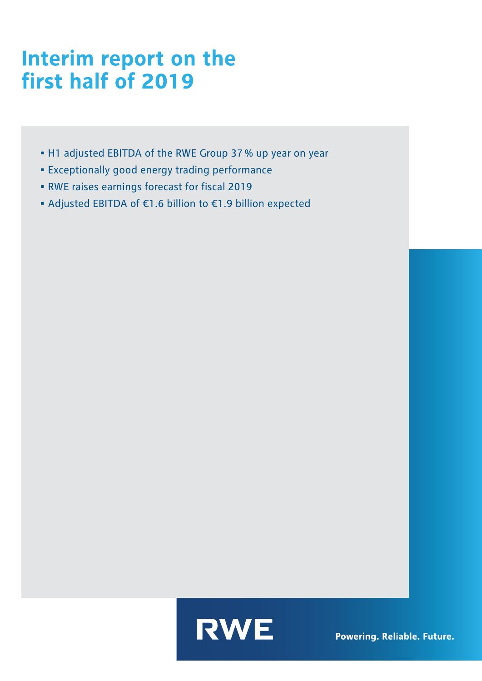# Interim report on the<br>first half of 2019

- H1 adjusted EBITDA of the RWE Group 37% up year on year
- Exceptionally good energy trading performance
- RWE raises earnings forecast for fiscal 2019
- Adjusted EBITDA of €1.6 billion to €1.9 billion expected



Powering. Reliable. Future.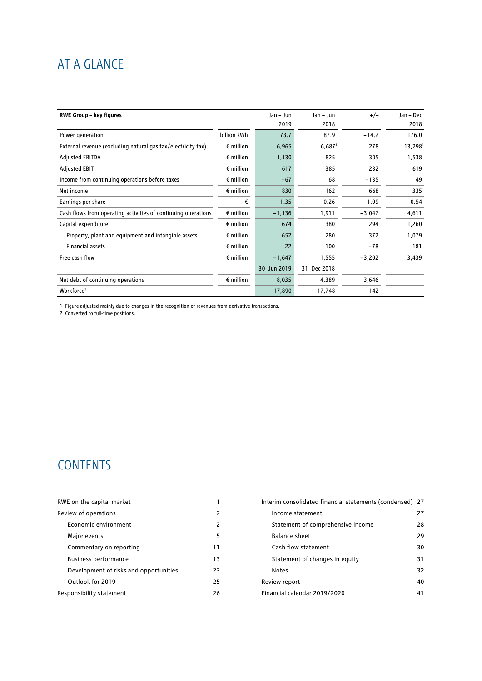# AT A GLANCE

| <b>RWE Group - key figures</b>                                |                    | Jan - Jun   | Jan – Jun            | $+/-$    | Jan - Dec |
|---------------------------------------------------------------|--------------------|-------------|----------------------|----------|-----------|
|                                                               |                    | 2019        | 2018                 |          | 2018      |
| Power generation                                              | billion kWh        | 73.7        | 87.9                 | $-14.2$  | 176.0     |
| External revenue (excluding natural gas tax/electricity tax)  | $\epsilon$ million | 6,965       | $6,687$ <sup>1</sup> | 278      | 13,298    |
| <b>Adjusted EBITDA</b>                                        | $\epsilon$ million | 1,130       | 825                  | 305      | 1,538     |
| <b>Adjusted EBIT</b>                                          | $\epsilon$ million | 617         | 385                  | 232      | 619       |
| Income from continuing operations before taxes                | $\epsilon$ million | $-67$       | 68                   | $-135$   | 49        |
| Net income                                                    | $\epsilon$ million | 830         | 162                  | 668      | 335       |
| Earnings per share                                            | €                  | 1.35        | 0.26                 | 1.09     | 0.54      |
| Cash flows from operating activities of continuing operations | $\epsilon$ million | $-1,136$    | 1,911                | $-3,047$ | 4,611     |
| Capital expenditure                                           | $\epsilon$ million | 674         | 380                  | 294      | 1,260     |
| Property, plant and equipment and intangible assets           | $\epsilon$ million | 652         | 280                  | 372      | 1,079     |
| <b>Financial assets</b>                                       | $\epsilon$ million | 22          | 100                  | $-78$    | 181       |
| Free cash flow                                                | $\epsilon$ million | $-1,647$    | 1,555                | $-3,202$ | 3,439     |
|                                                               |                    | 30 Jun 2019 | 31 Dec 2018          |          |           |
| Net debt of continuing operations                             | $\epsilon$ million | 8,035       | 4,389                | 3,646    |           |
| Workforce <sup>2</sup>                                        |                    | 17,890      | 17,748               | 142      |           |

1 Figure adjusted mainly due to changes in the recognition of revenues from derivative transactions.

2 Converted to full-time positions.

# **CONTENTS**

| RWE on the capital market              |    | Interim consolidated financial statements (condensed) 27 |    |
|----------------------------------------|----|----------------------------------------------------------|----|
| Review of operations                   | 2  | Income statement                                         | 27 |
| Economic environment                   | 2  | Statement of comprehensive income                        | 28 |
| Major events                           | 5  | Balance sheet                                            | 29 |
| Commentary on reporting                | 11 | Cash flow statement                                      | 30 |
| <b>Business performance</b>            | 13 | Statement of changes in equity                           | 31 |
| Development of risks and opportunities | 23 | <b>Notes</b>                                             | 32 |
| Outlook for 2019                       | 25 | Review report                                            | 40 |
| Responsibility statement               | 26 | Financial calendar 2019/2020                             | 41 |
|                                        |    |                                                          |    |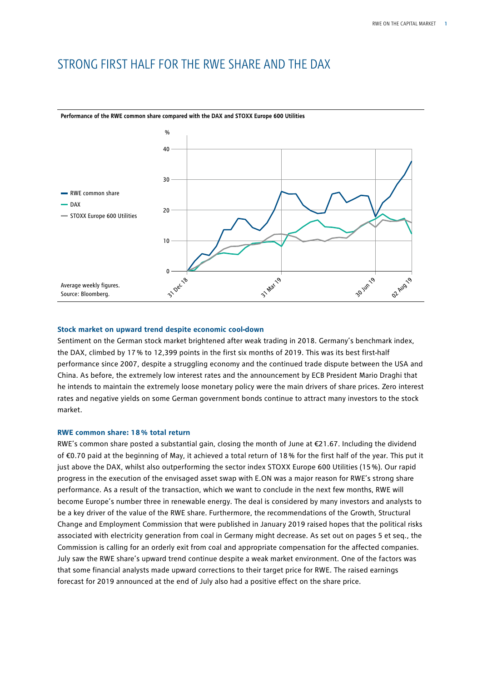# STRONG FIRST HALF FOR THE RWE SHARE AND THE DAX



**Performance of the RWE common share compared with the DAX and STOXX Europe 600 Utilities**

#### **Stock market on upward trend despite economic cool-down**

Sentiment on the German stock market brightened after weak trading in 2018. Germany's benchmark index, the DAX, climbed by 17% to 12,399 points in the first six months of 2019. This was its best first-half performance since 2007, despite a struggling economy and the continued trade dispute between the USA and China. As before, the extremely low interest rates and the announcement by ECB President Mario Draghi that he intends to maintain the extremely loose monetary policy were the main drivers of share prices. Zero interest rates and negative yields on some German government bonds continue to attract many investors to the stock market.

#### **RWE common share: 18% total return**

RWE's common share posted a substantial gain, closing the month of June at €21.67. Including the dividend of €0.70 paid at the beginning of May, it achieved a total return of 18% for the first half of the year. This put it just above the DAX, whilst also outperforming the sector index STOXX Europe 600 Utilities (15%). Our rapid progress in the execution of the envisaged asset swap with E.ON was a major reason for RWE's strong share performance. As a result of the transaction, which we want to conclude in the next few months, RWE will become Europe's number three in renewable energy. The deal is considered by many investors and analysts to be a key driver of the value of the RWE share. Furthermore, the recommendations of the Growth, Structural Change and Employment Commission that were published in January 2019 raised hopes that the political risks associated with electricity generation from coal in Germany might decrease. As set out on pages 5 et seq., the Commission is calling for an orderly exit from coal and appropriate compensation for the affected companies. July saw the RWE share's upward trend continue despite a weak market environment. One of the factors was that some financial analysts made upward corrections to their target price for RWE. The raised earnings forecast for 2019 announced at the end of July also had a positive effect on the share price.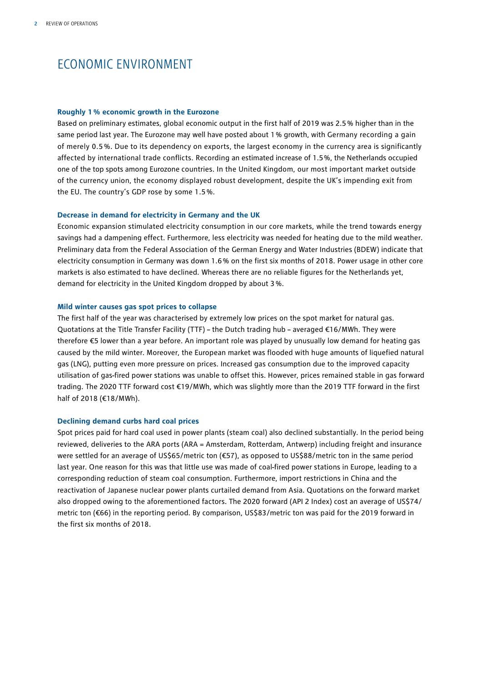# ECONOMIC ENVIRONMENT

#### **Roughly 1% economic growth in the Eurozone**

Based on preliminary estimates, global economic output in the first half of 2019 was 2.5% higher than in the same period last year. The Eurozone may well have posted about 1% growth, with Germany recording a gain of merely 0.5 %. Due to its dependency on exports, the largest economy in the currency area is significantly affected by international trade conflicts. Recording an estimated increase of 1.5%, the Netherlands occupied one of the top spots among Eurozone countries. In the United Kingdom, our most important market outside of the currency union, the economy displayed robust development, despite the UK's impending exit from the EU. The country's GDP rose by some 1.5%.

#### **Decrease in demand for electricity in Germany and the UK**

Economic expansion stimulated electricity consumption in our core markets, while the trend towards energy savings had a dampening effect. Furthermore, less electricity was needed for heating due to the mild weather. Preliminary data from the Federal Association of the German Energy and Water Industries (BDEW) indicate that electricity consumption in Germany was down 1.6% on the first six months of 2018. Power usage in other core markets is also estimated to have declined. Whereas there are no reliable figures for the Netherlands yet, demand for electricity in the United Kingdom dropped by about 3%.

#### **Mild winter causes gas spot prices to collapse**

The first half of the year was characterised by extremely low prices on the spot market for natural gas. Quotations at the Title Transfer Facility (TTF) – the Dutch trading hub – averaged €16/MWh. They were therefore €5 lower than a year before. An important role was played by unusually low demand for heating gas caused by the mild winter. Moreover, the European market was flooded with huge amounts of liquefied natural gas (LNG), putting even more pressure on prices. Increased gas consumption due to the improved capacity utilisation of gas-fired power stations was unable to offset this. However, prices remained stable in gas forward trading. The 2020 TTF forward cost €19/MWh, which was slightly more than the 2019 TTF forward in the first half of 2018 (€18/MWh).

#### **Declining demand curbs hard coal prices**

Spot prices paid for hard coal used in power plants (steam coal) also declined substantially. In the period being reviewed, deliveries to the ARA ports (ARA = Amsterdam, Rotterdam, Antwerp) including freight and insurance were settled for an average of US\$65/metric ton (€57), as opposed to US\$88/metric ton in the same period last year. One reason for this was that little use was made of coal-fired power stations in Europe, leading to a corresponding reduction of steam coal consumption. Furthermore, import restrictions in China and the reactivation of Japanese nuclear power plants curtailed demand from Asia. Quotations on the forward market also dropped owing to the aforementioned factors. The 2020 forward (API 2 Index) cost an average of US\$74/ metric ton (€66) in the reporting period. By comparison, US\$83/metric ton was paid for the 2019 forward in the first six months of 2018.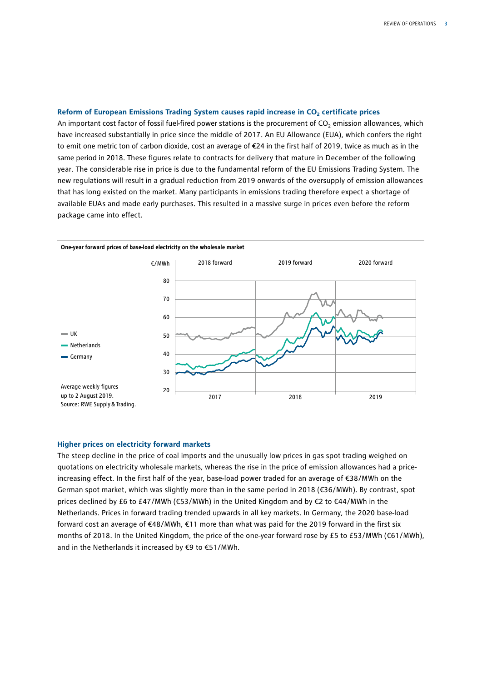#### Reform of European Emissions Trading System causes rapid increase in CO<sub>2</sub> certificate prices

An important cost factor of fossil fuel-fired power stations is the procurement of  $CO<sub>2</sub>$  emission allowances, which have increased substantially in price since the middle of 2017. An EU Allowance (EUA), which confers the right to emit one metric ton of carbon dioxide, cost an average of €24 in the first half of 2019, twice as much as in the same period in 2018. These figures relate to contracts for delivery that mature in December of the following year. The considerable rise in price is due to the fundamental reform of the EU Emissions Trading System. The new regulations will result in a gradual reduction from 2019 onwards of the oversupply of emission allowances that has long existed on the market. Many participants in emissions trading therefore expect a shortage of available EUAs and made early purchases. This resulted in a massive surge in prices even before the reform package came into effect.



#### **Higher prices on electricity forward markets**

The steep decline in the price of coal imports and the unusually low prices in gas spot trading weighed on quotations on electricity wholesale markets, whereas the rise in the price of emission allowances had a priceincreasing effect. In the first half of the year, base-load power traded for an average of €38/MWh on the German spot market, which was slightly more than in the same period in 2018 (€36/MWh). By contrast, spot prices declined by £6 to £47/MWh (€53/MWh) in the United Kingdom and by €2 to €44/MWh in the Netherlands. Prices in forward trading trended upwards in all key markets. In Germany, the 2020 base-load forward cost an average of €48/MWh, €11 more than what was paid for the 2019 forward in the first six months of 2018. In the United Kingdom, the price of the one-year forward rose by £5 to £53/MWh (€61/MWh), and in the Netherlands it increased by €9 to €51/MWh.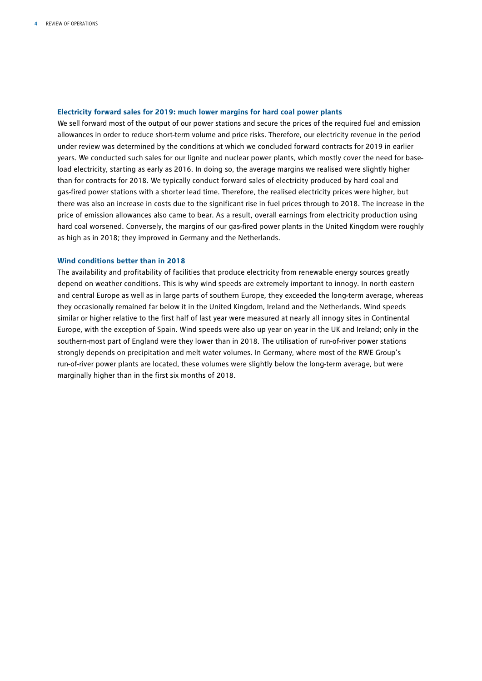#### **Electricity forward sales for 2019: much lower margins for hard coal power plants**

We sell forward most of the output of our power stations and secure the prices of the required fuel and emission allowances in order to reduce short-term volume and price risks. Therefore, our electricity revenue in the period under review was determined by the conditions at which we concluded forward contracts for 2019 in earlier years. We conducted such sales for our lignite and nuclear power plants, which mostly cover the need for baseload electricity, starting as early as 2016. In doing so, the average margins we realised were slightly higher than for contracts for 2018. We typically conduct forward sales of electricity produced by hard coal and gas-fired power stations with a shorter lead time. Therefore, the realised electricity prices were higher, but there was also an increase in costs due to the significant rise in fuel prices through to 2018. The increase in the price of emission allowances also came to bear. As a result, overall earnings from electricity production using hard coal worsened. Conversely, the margins of our gas-fired power plants in the United Kingdom were roughly as high as in 2018; they improved in Germany and the Netherlands.

#### **Wind conditions better than in 2018**

The availability and profitability of facilities that produce electricity from renewable energy sources greatly depend on weather conditions. This is why wind speeds are extremely important to innogy. In north eastern and central Europe as well as in large parts of southern Europe, they exceeded the long-term average, whereas they occasionally remained far below it in the United Kingdom, Ireland and the Netherlands. Wind speeds similar or higher relative to the first half of last year were measured at nearly all innogy sites in Continental Europe, with the exception of Spain. Wind speeds were also up year on year in the UK and Ireland; only in the southern-most part of England were they lower than in 2018. The utilisation of run-of-river power stations strongly depends on precipitation and melt water volumes. In Germany, where most of the RWE Group's run-of-river power plants are located, these volumes were slightly below the long-term average, but were marginally higher than in the first six months of 2018.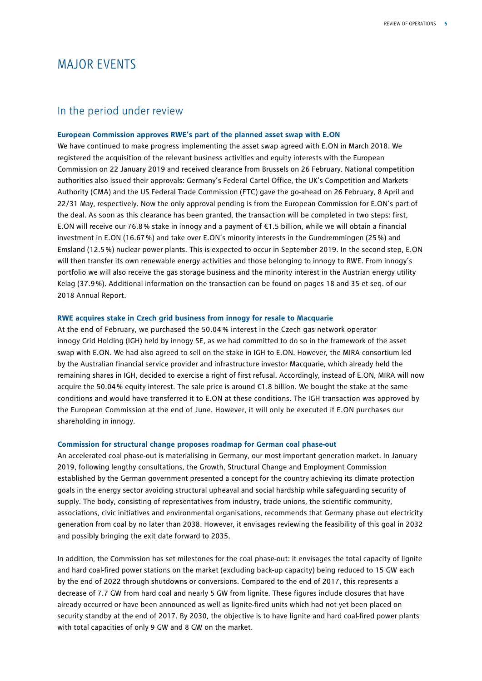# MAJOR EVENTS

### In the period under review

#### **European Commission approves RWE's part of the planned asset swap with E.ON**

We have continued to make progress implementing the asset swap agreed with E.ON in March 2018. We registered the acquisition of the relevant business activities and equity interests with the European Commission on 22 January 2019 and received clearance from Brussels on 26 February. National competition authorities also issued their approvals: Germany's Federal Cartel Office, the UK's Competition and Markets Authority (CMA) and the US Federal Trade Commission (FTC) gave the go-ahead on 26 February, 8 April and 22/31 May, respectively. Now the only approval pending is from the European Commission for E.ON's part of the deal. As soon as this clearance has been granted, the transaction will be completed in two steps: first, E.ON will receive our 76.8% stake in innogy and a payment of €1.5 billion, while we will obtain a financial investment in E.ON (16.67%) and take over E.ON's minority interests in the Gundremmingen (25%) and Emsland (12.5%) nuclear power plants. This is expected to occur in September 2019. In the second step, E.ON will then transfer its own renewable energy activities and those belonging to innogy to RWE. From innogy's portfolio we will also receive the gas storage business and the minority interest in the Austrian energy utility Kelag (37.9%). Additional information on the transaction can be found on pages 18 and 35 et seq. of our 2018 Annual Report.

#### **RWE acquires stake in Czech grid business from innogy for resale to Macquarie**

At the end of February, we purchased the 50.04 % interest in the Czech gas network operator innogy Grid Holding (IGH) held by innogy SE, as we had committed to do so in the framework of the asset swap with E.ON. We had also agreed to sell on the stake in IGH to E.ON. However, the MIRA consortium led by the Australian financial service provider and infrastructure investor Macquarie, which already held the remaining shares in IGH, decided to exercise a right of first refusal. Accordingly, instead of E.ON, MIRA will now acquire the 50.04% equity interest. The sale price is around €1.8 billion. We bought the stake at the same conditions and would have transferred it to E.ON at these conditions. The IGH transaction was approved by the European Commission at the end of June. However, it will only be executed if E.ON purchases our shareholding in innogy.

#### **Commission for structural change proposes roadmap for German coal phase-out**

An accelerated coal phase-out is materialising in Germany, our most important generation market. In January 2019, following lengthy consultations, the Growth, Structural Change and Employment Commission established by the German government presented a concept for the country achieving its climate protection goals in the energy sector avoiding structural upheaval and social hardship while safeguarding security of supply. The body, consisting of representatives from industry, trade unions, the scientific community, associations, civic initiatives and environmental organisations, recommends that Germany phase out electricity generation from coal by no later than 2038. However, it envisages reviewing the feasibility of this goal in 2032 and possibly bringing the exit date forward to 2035.

In addition, the Commission has set milestones for the coal phase-out: it envisages the total capacity of lignite and hard coal-fired power stations on the market (excluding back-up capacity) being reduced to 15 GW each by the end of 2022 through shutdowns or conversions. Compared to the end of 2017, this represents a decrease of 7.7 GW from hard coal and nearly 5 GW from lignite. These figures include closures that have already occurred or have been announced as well as lignite-fired units which had not yet been placed on security standby at the end of 2017. By 2030, the objective is to have lignite and hard coal-fired power plants with total capacities of only 9 GW and 8 GW on the market.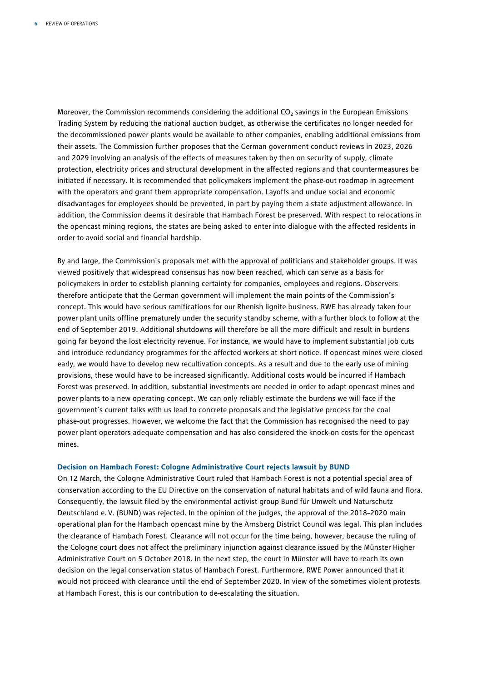Moreover, the Commission recommends considering the additional CO<sub>2</sub> savings in the European Emissions Trading System by reducing the national auction budget, as otherwise the certificates no longer needed for the decommissioned power plants would be available to other companies, enabling additional emissions from their assets. The Commission further proposes that the German government conduct reviews in 2023, 2026 and 2029 involving an analysis of the effects of measures taken by then on security of supply, climate protection, electricity prices and structural development in the affected regions and that countermeasures be initiated if necessary. It is recommended that policymakers implement the phase-out roadmap in agreement with the operators and grant them appropriate compensation. Layoffs and undue social and economic disadvantages for employees should be prevented, in part by paying them a state adjustment allowance. In addition, the Commission deems it desirable that Hambach Forest be preserved. With respect to relocations in the opencast mining regions, the states are being asked to enter into dialogue with the affected residents in order to avoid social and financial hardship.

By and large, the Commission's proposals met with the approval of politicians and stakeholder groups. It was viewed positively that widespread consensus has now been reached, which can serve as a basis for policymakers in order to establish planning certainty for companies, employees and regions. Observers therefore anticipate that the German government will implement the main points of the Commission's concept. This would have serious ramifications for our Rhenish lignite business. RWE has already taken four power plant units offline prematurely under the security standby scheme, with a further block to follow at the end of September 2019. Additional shutdowns will therefore be all the more difficult and result in burdens going far beyond the lost electricity revenue. For instance, we would have to implement substantial job cuts and introduce redundancy programmes for the affected workers at short notice. If opencast mines were closed early, we would have to develop new recultivation concepts. As a result and due to the early use of mining provisions, these would have to be increased significantly. Additional costs would be incurred if Hambach Forest was preserved. In addition, substantial investments are needed in order to adapt opencast mines and power plants to a new operating concept. We can only reliably estimate the burdens we will face if the government's current talks with us lead to concrete proposals and the legislative process for the coal phase-out progresses. However, we welcome the fact that the Commission has recognised the need to pay power plant operators adequate compensation and has also considered the knock-on costs for the opencast mines.

#### **Decision on Hambach Forest: Cologne Administrative Court rejects lawsuit by BUND**

On 12 March, the Cologne Administrative Court ruled that Hambach Forest is not a potential special area of conservation according to the EU Directive on the conservation of natural habitats and of wild fauna and flora. Consequently, the lawsuit filed by the environmental activist group Bund für Umwelt und Naturschutz Deutschland e.V. (BUND) was rejected. In the opinion of the judges, the approval of the 2018–2020 main operational plan for the Hambach opencast mine by the Arnsberg District Council was legal. This plan includes the clearance of Hambach Forest. Clearance will not occur for the time being, however, because the ruling of the Cologne court does not affect the preliminary injunction against clearance issued by the Münster Higher Administrative Court on 5 October 2018. In the next step, the court in Münster will have to reach its own decision on the legal conservation status of Hambach Forest. Furthermore, RWE Power announced that it would not proceed with clearance until the end of September 2020. In view of the sometimes violent protests at Hambach Forest, this is our contribution to de-escalating the situation.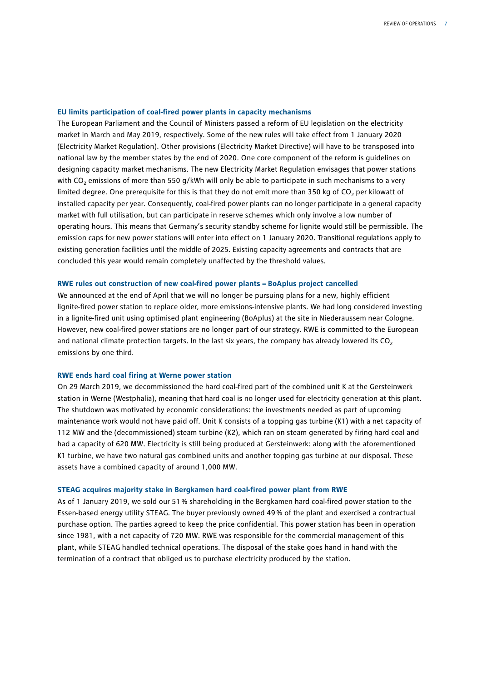#### **EU limits participation of coal-fired power plants in capacity mechanisms**

The European Parliament and the Council of Ministers passed a reform of EU legislation on the electricity market in March and May 2019, respectively. Some of the new rules will take effect from 1 January 2020 (Electricity Market Regulation). Other provisions (Electricity Market Directive) will have to be transposed into national law by the member states by the end of 2020. One core component of the reform is guidelines on designing capacity market mechanisms. The new Electricity Market Regulation envisages that power stations with CO<sub>2</sub> emissions of more than 550 g/kWh will only be able to participate in such mechanisms to a very limited degree. One prerequisite for this is that they do not emit more than 350 kg of CO<sub>2</sub> per kilowatt of installed capacity per year. Consequently, coal-fired power plants can no longer participate in a general capacity market with full utilisation, but can participate in reserve schemes which only involve a low number of operating hours. This means that Germany's security standby scheme for lignite would still be permissible. The emission caps for new power stations will enter into effect on 1 January 2020. Transitional regulations apply to existing generation facilities until the middle of 2025. Existing capacity agreements and contracts that are concluded this year would remain completely unaffected by the threshold values.

#### **RWE rules out construction of new coal-fired power plants – BoAplus project cancelled**

We announced at the end of April that we will no longer be pursuing plans for a new, highly efficient lignite-fired power station to replace older, more emissions-intensive plants. We had long considered investing in a lignite-fired unit using optimised plant engineering (BoAplus) at the site in Niederaussem near Cologne. However, new coal-fired power stations are no longer part of our strategy. RWE is committed to the European and national climate protection targets. In the last six years, the company has already lowered its  $CO<sub>2</sub>$ emissions by one third.

#### **RWE ends hard coal firing at Werne power station**

On 29 March 2019, we decommissioned the hard coal-fired part of the combined unit K at the Gersteinwerk station in Werne (Westphalia), meaning that hard coal is no longer used for electricity generation at this plant. The shutdown was motivated by economic considerations: the investments needed as part of upcoming maintenance work would not have paid off. Unit K consists of a topping gas turbine (K1) with a net capacity of 112 MW and the (decommissioned) steam turbine (K2), which ran on steam generated by firing hard coal and had a capacity of 620 MW. Electricity is still being produced at Gersteinwerk: along with the aforementioned K1 turbine, we have two natural gas combined units and another topping gas turbine at our disposal. These assets have a combined capacity of around 1,000 MW.

#### **STEAG acquires majority stake in Bergkamen hard coal-fired power plant from RWE**

As of 1 January 2019, we sold our 51% shareholding in the Bergkamen hard coal-fired power station to the Essen-based energy utility STEAG. The buyer previously owned 49% of the plant and exercised a contractual purchase option. The parties agreed to keep the price confidential. This power station has been in operation since 1981, with a net capacity of 720 MW. RWE was responsible for the commercial management of this plant, while STEAG handled technical operations. The disposal of the stake goes hand in hand with the termination of a contract that obliged us to purchase electricity produced by the station.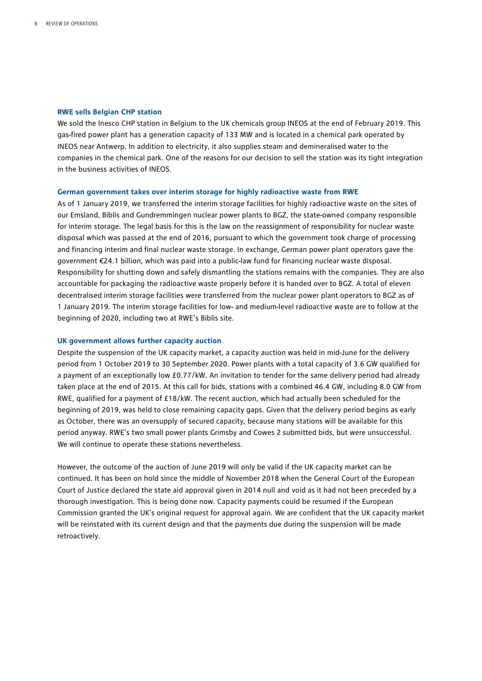#### **RWE sells Belgian CHP station**

We sold the Inesco CHP station in Belgium to the UK chemicals group INEOS at the end of February 2019. This gas-fired power plant has a generation capacity of 133 MW and is located in a chemical park operated by INEOS near Antwerp. In addition to electricity, it also supplies steam and demineralised water to the companies in the chemical park. One of the reasons for our decision to sell the station was its tight integration in the business activities of INEOS.

#### **German government takes over interim storage for highly radioactive waste from RWE**

As of 1 January 2019, we transferred the interim storage facilities for highly radioactive waste on the sites of our Emsland, Biblis and Gundremmingen nuclear power plants to BGZ, the state-owned company responsible for interim storage. The legal basis for this is the law on the reassignment of responsibility for nuclear waste disposal which was passed at the end of 2016, pursuant to which the government took charge of processing and financing interim and final nuclear waste storage. In exchange, German power plant operators gave the government €24.1 billion, which was paid into a public-law fund for financing nuclear waste disposal. Responsibility for shutting down and safely dismantling the stations remains with the companies. They are also accountable for packaging the radioactive waste properly before it is handed over to BGZ. A total of eleven decentralised interim storage facilities were transferred from the nuclear power plant operators to BGZ as of 1 January 2019. The interim storage facilities for low- and medium-level radioactive waste are to follow at the beginning of 2020, including two at RWE's Biblis site.

#### **UK government allows further capacity auction**

Despite the suspension of the UK capacity market, a capacity auction was held in mid-June for the delivery period from 1 October 2019 to 30 September 2020. Power plants with a total capacity of 3.6 GW qualified for a payment of an exceptionally low £0.77/kW. An invitation to tender for the same delivery period had already taken place at the end of 2015. At this call for bids, stations with a combined 46.4 GW, including 8.0 GW from RWE, qualified for a payment of £18/kW. The recent auction, which had actually been scheduled for the beginning of 2019, was held to close remaining capacity gaps. Given that the delivery period begins as early as October, there was an oversupply of secured capacity, because many stations will be available for this period anyway. RWE's two small power plants Grimsby and Cowes 2 submitted bids, but were unsuccessful. We will continue to operate these stations nevertheless.

However, the outcome of the auction of June 2019 will only be valid if the UK capacity market can be continued. It has been on hold since the middle of November 2018 when the General Court of the European Court of Justice declared the state aid approval given in 2014 null and void as it had not been preceded by a thorough investigation. This is being done now. Capacity payments could be resumed if the European Commission granted the UK's original request for approval again. We are confident that the UK capacity market will be reinstated with its current design and that the payments due during the suspension will be made retroactively.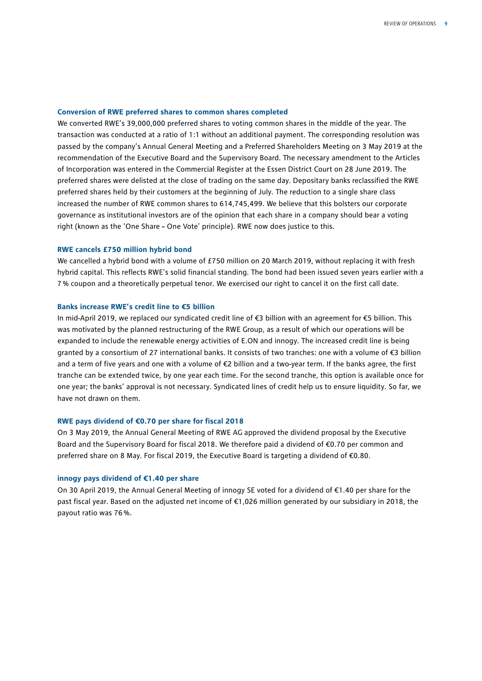#### **Conversion of RWE preferred shares to common shares completed**

We converted RWE's 39,000,000 preferred shares to voting common shares in the middle of the year. The transaction was conducted at a ratio of 1:1 without an additional payment. The corresponding resolution was passed by the company's Annual General Meeting and a Preferred Shareholders Meeting on 3 May 2019 at the recommendation of the Executive Board and the Supervisory Board. The necessary amendment to the Articles of Incorporation was entered in the Commercial Register at the Essen District Court on 28 June 2019. The preferred shares were delisted at the close of trading on the same day. Depositary banks reclassified the RWE preferred shares held by their customers at the beginning of July. The reduction to a single share class increased the number of RWE common shares to 614,745,499. We believe that this bolsters our corporate governance as institutional investors are of the opinion that each share in a company should bear a voting right (known as the 'One Share – One Vote' principle). RWE now does justice to this.

#### **RWE cancels £750 million hybrid bond**

We cancelled a hybrid bond with a volume of £750 million on 20 March 2019, without replacing it with fresh hybrid capital. This reflects RWE's solid financial standing. The bond had been issued seven years earlier with a 7% coupon and a theoretically perpetual tenor. We exercised our right to cancel it on the first call date.

#### **Banks increase RWE's credit line to €5 billion**

In mid-April 2019, we replaced our syndicated credit line of €3 billion with an agreement for €5 billion. This was motivated by the planned restructuring of the RWE Group, as a result of which our operations will be expanded to include the renewable energy activities of E.ON and innogy. The increased credit line is being granted by a consortium of 27 international banks. It consists of two tranches: one with a volume of €3 billion and a term of five years and one with a volume of €2 billion and a two-year term. If the banks agree, the first tranche can be extended twice, by one year each time. For the second tranche, this option is available once for one year; the banks' approval is not necessary. Syndicated lines of credit help us to ensure liquidity. So far, we have not drawn on them.

#### **RWE pays dividend of €0.70 per share for fiscal 2018**

On 3 May 2019, the Annual General Meeting of RWE AG approved the dividend proposal by the Executive Board and the Supervisory Board for fiscal 2018. We therefore paid a dividend of €0.70 per common and preferred share on 8 May. For fiscal 2019, the Executive Board is targeting a dividend of €0.80.

#### **innogy pays dividend of €1.40 per share**

On 30 April 2019, the Annual General Meeting of innogy SE voted for a dividend of €1.40 per share for the past fiscal year. Based on the adjusted net income of €1,026 million generated by our subsidiary in 2018, the payout ratio was 76%.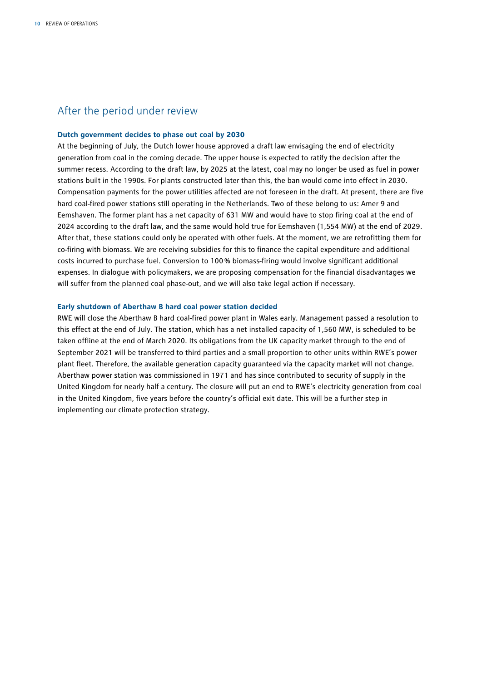### After the period under review

#### **Dutch government decides to phase out coal by 2030**

At the beginning of July, the Dutch lower house approved a draft law envisaging the end of electricity generation from coal in the coming decade. The upper house is expected to ratify the decision after the summer recess. According to the draft law, by 2025 at the latest, coal may no longer be used as fuel in power stations built in the 1990s. For plants constructed later than this, the ban would come into effect in 2030. Compensation payments for the power utilities affected are not foreseen in the draft. At present, there are five hard coal-fired power stations still operating in the Netherlands. Two of these belong to us: Amer 9 and Eemshaven. The former plant has a net capacity of 631 MW and would have to stop firing coal at the end of 2024 according to the draft law, and the same would hold true for Eemshaven (1,554 MW) at the end of 2029. After that, these stations could only be operated with other fuels. At the moment, we are retrofitting them for co-firing with biomass. We are receiving subsidies for this to finance the capital expenditure and additional costs incurred to purchase fuel. Conversion to 100% biomass-firing would involve significant additional expenses. In dialogue with policymakers, we are proposing compensation for the financial disadvantages we will suffer from the planned coal phase-out, and we will also take legal action if necessary.

#### **Early shutdown of Aberthaw B hard coal power station decided**

RWE will close the Aberthaw B hard coal-fired power plant in Wales early. Management passed a resolution to this effect at the end of July. The station, which has a net installed capacity of 1,560 MW, is scheduled to be taken offline at the end of March 2020. Its obligations from the UK capacity market through to the end of September 2021 will be transferred to third parties and a small proportion to other units within RWE's power plant fleet. Therefore, the available generation capacity guaranteed via the capacity market will not change. Aberthaw power station was commissioned in 1971 and has since contributed to security of supply in the United Kingdom for nearly half a century. The closure will put an end to RWE's electricity generation from coal in the United Kingdom, five years before the country's official exit date. This will be a further step in implementing our climate protection strategy.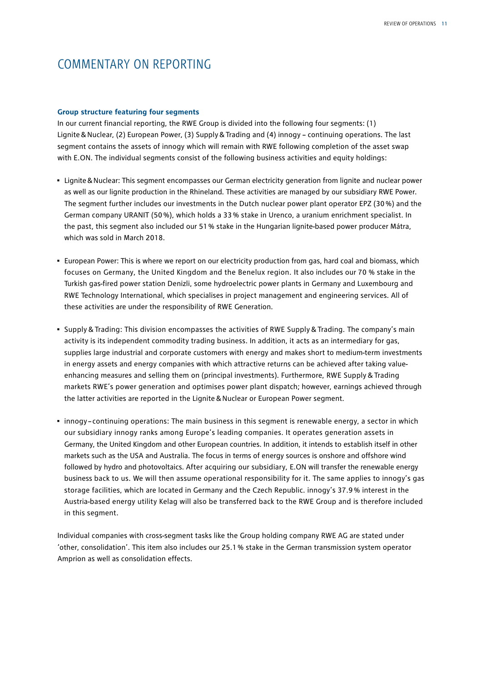# COMMENTARY ON REPORTING

#### **Group structure featuring four segments**

In our current financial reporting, the RWE Group is divided into the following four segments: (1) Lignite&Nuclear, (2) European Power, (3) Supply&Trading and (4) innogy – continuing operations. The last segment contains the assets of innogy which will remain with RWE following completion of the asset swap with E.ON. The individual segments consist of the following business activities and equity holdings:

- Lignite&Nuclear: This segment encompasses our German electricity generation from lignite and nuclear power as well as our lignite production in the Rhineland. These activities are managed by our subsidiary RWE Power. The segment further includes our investments in the Dutch nuclear power plant operator EPZ (30%) and the German company URANIT (50%), which holds a 33% stake in Urenco, a uranium enrichment specialist. In the past, this segment also included our 51% stake in the Hungarian lignite-based power producer Mátra, which was sold in March 2018.
- European Power: This is where we report on our electricity production from gas, hard coal and biomass, which focuses on Germany, the United Kingdom and the Benelux region. It also includes our 70 % stake in the Turkish gas-fired power station Denizli, some hydroelectric power plants in Germany and Luxembourg and RWE Technology International, which specialises in project management and engineering services. All of these activities are under the responsibility of RWE Generation.
- Supply & Trading: This division encompasses the activities of RWE Supply & Trading. The company's main activity is its independent commodity trading business. In addition, it acts as an intermediary for gas, supplies large industrial and corporate customers with energy and makes short to medium-term investments in energy assets and energy companies with which attractive returns can be achieved after taking valueenhancing measures and selling them on (principal investments). Furthermore, RWE Supply & Trading markets RWE's power generation and optimises power plant dispatch; however, earnings achieved through the latter activities are reported in the Lignite&Nuclear or European Power segment.
- innogy continuing operations: The main business in this segment is renewable energy, a sector in which our subsidiary innogy ranks among Europe's leading companies. It operates generation assets in Germany, the United Kingdom and other European countries. In addition, it intends to establish itself in other markets such as the USA and Australia. The focus in terms of energy sources is onshore and offshore wind followed by hydro and photovoltaics. After acquiring our subsidiary, E.ON will transfer the renewable energy business back to us. We will then assume operational responsibility for it. The same applies to innogy's gas storage facilities, which are located in Germany and the Czech Republic. innogy's 37.9% interest in the Austria-based energy utility Kelag will also be transferred back to the RWE Group and is therefore included in this segment.

Individual companies with cross-segment tasks like the Group holding company RWE AG are stated under 'other, consolidation'. This item also includes our 25.1% stake in the German transmission system operator Amprion as well as consolidation effects.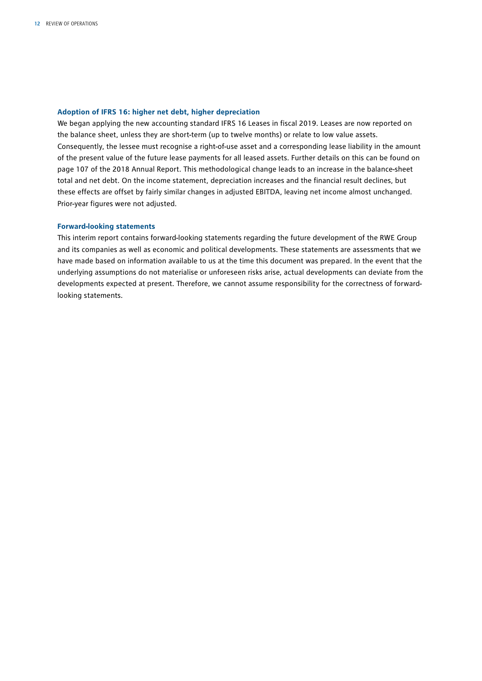#### **Adoption of IFRS 16: higher net debt, higher depreciation**

We began applying the new accounting standard IFRS 16 Leases in fiscal 2019. Leases are now reported on the balance sheet, unless they are short-term (up to twelve months) or relate to low value assets. Consequently, the lessee must recognise a right-of-use asset and a corresponding lease liability in the amount of the present value of the future lease payments for all leased assets. Further details on this can be found on page 107 of the 2018 Annual Report. This methodological change leads to an increase in the balance-sheet total and net debt. On the income statement, depreciation increases and the financial result declines, but these effects are offset by fairly similar changes in adjusted EBITDA, leaving net income almost unchanged. Prior-year figures were not adjusted.

#### **Forward-looking statements**

This interim report contains forward-looking statements regarding the future development of the RWE Group and its companies as well as economic and political developments. These statements are assessments that we have made based on information available to us at the time this document was prepared. In the event that the underlying assumptions do not materialise or unforeseen risks arise, actual developments can deviate from the developments expected at present. Therefore, we cannot assume responsibility for the correctness of forwardlooking statements.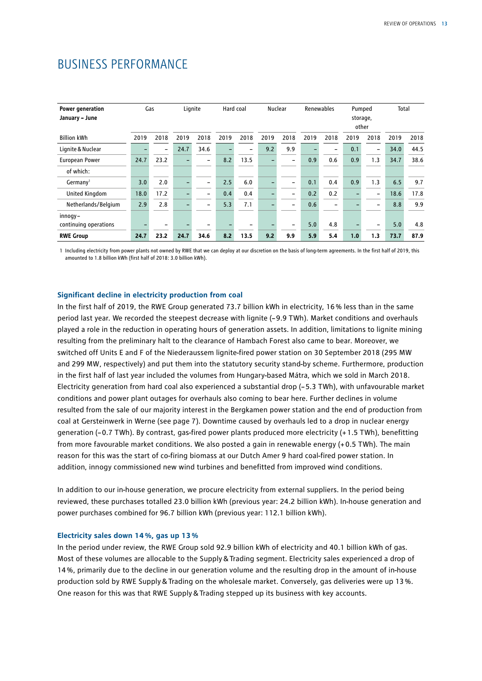| Power generation<br>January - June | Gas  |                          | Lignite                  |                          | Hard coal |      | Nuclear |      | Renewables |                          | storage, | Pumped<br>other | Total |      |
|------------------------------------|------|--------------------------|--------------------------|--------------------------|-----------|------|---------|------|------------|--------------------------|----------|-----------------|-------|------|
| <b>Billion kWh</b>                 | 2019 | 2018                     | 2019                     | 2018                     | 2019      | 2018 | 2019    | 2018 | 2019       | 2018                     | 2019     | 2018            | 2019  | 2018 |
| Lignite & Nuclear                  |      | $\overline{\phantom{0}}$ | 24.7                     | 34.6                     |           |      | 9.2     | 9.9  | ▃          |                          | 0.1      |                 | 34.0  | 44.5 |
| <b>European Power</b>              | 24.7 | 23.2                     | -                        | $\overline{\phantom{0}}$ | 8.2       | 13.5 |         | -    | 0.9        | 0.6                      | 0.9      | 1.3             | 34.7  | 38.6 |
| of which:                          |      |                          |                          |                          |           |      |         |      |            |                          |          |                 |       |      |
| Germany <sup>1</sup>               | 3.0  | 2.0                      | ۳                        | $\overline{\phantom{0}}$ | 2.5       | 6.0  |         | -    | 0.1        | 0.4                      | 0.9      | 1.3             | 6.5   | 9.7  |
| <b>United Kingdom</b>              | 18.0 | 17.2                     | $\overline{\phantom{0}}$ | $\overline{\phantom{0}}$ | 0.4       | 0.4  |         | -    | 0.2        | 0.2                      |          | $\qquad \qquad$ | 18.6  | 17.8 |
| Netherlands/Belgium                | 2.9  | 2.8                      | $\overline{\phantom{0}}$ | $\overline{\phantom{0}}$ | 5.3       | 7.1  |         | -    | 0.6        | $\overline{\phantom{0}}$ |          |                 | 8.8   | 9.9  |
| innogy-                            |      |                          |                          |                          |           |      |         |      |            |                          |          |                 |       |      |
| continuing operations              |      |                          |                          |                          |           |      |         |      | 5.0        | 4.8                      |          |                 | 5.0   | 4.8  |
| <b>RWE Group</b>                   | 24.7 | 23.2                     | 24.7                     | 34.6                     | 8.2       | 13.5 | 9.2     | 9.9  | 5.9        | 5.4                      | 1.0      | 1.3             | 73.7  | 87.9 |

1 Including electricity from power plants not owned by RWE that we can deploy at our discretion on the basis of long-term agreements. In the first half of 2019, this amounted to 1.8 billion kWh (first half of 2018: 3.0 billion kWh).

#### **Significant decline in electricity production from coal**

In the first half of 2019, the RWE Group generated 73.7 billion kWh in electricity, 16% less than in the same period last year. We recorded the steepest decrease with lignite (–9.9 TWh). Market conditions and overhauls played a role in the reduction in operating hours of generation assets. In addition, limitations to lignite mining resulting from the preliminary halt to the clearance of Hambach Forest also came to bear. Moreover, we switched off Units E and F of the Niederaussem lignite-fired power station on 30 September 2018 (295 MW and 299 MW, respectively) and put them into the statutory security stand-by scheme. Furthermore, production in the first half of last year included the volumes from Hungary-based Mátra, which we sold in March 2018. Electricity generation from hard coal also experienced a substantial drop (–5.3 TWh), with unfavourable market conditions and power plant outages for overhauls also coming to bear here. Further declines in volume resulted from the sale of our majority interest in the Bergkamen power station and the end of production from coal at Gersteinwerk in Werne (see page 7). Downtime caused by overhauls led to a drop in nuclear energy generation (–0.7 TWh). By contrast, gas-fired power plants produced more electricity (+1.5 TWh), benefitting from more favourable market conditions. We also posted a gain in renewable energy (+0.5 TWh). The main reason for this was the start of co-firing biomass at our Dutch Amer 9 hard coal-fired power station. In addition, innogy commissioned new wind turbines and benefitted from improved wind conditions.

In addition to our in-house generation, we procure electricity from external suppliers. In the period being reviewed, these purchases totalled 23.0 billion kWh (previous year: 24.2 billion kWh). In-house generation and power purchases combined for 96.7 billion kWh (previous year: 112.1 billion kWh).

#### **Electricity sales down 14%, gas up 13%**

In the period under review, the RWE Group sold 92.9 billion kWh of electricity and 40.1 billion kWh of gas. Most of these volumes are allocable to the Supply&Trading segment. Electricity sales experienced a drop of 14%, primarily due to the decline in our generation volume and the resulting drop in the amount of in-house production sold by RWE Supply&Trading on the wholesale market. Conversely, gas deliveries were up 13%. One reason for this was that RWE Supply&Trading stepped up its business with key accounts.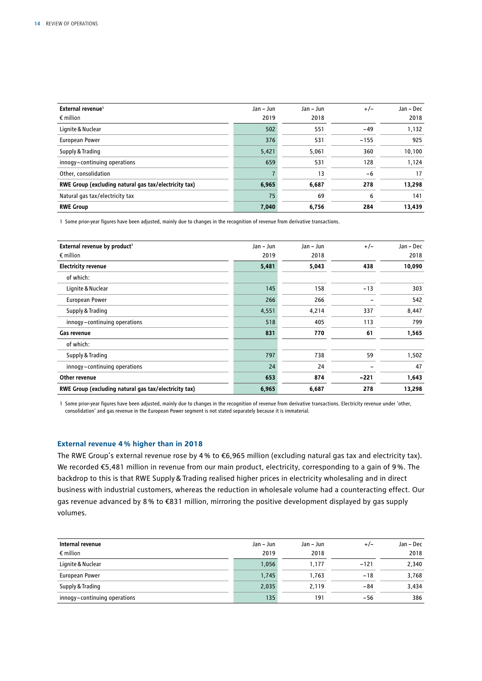| External revenue <sup>1</sup><br>$\epsilon$ million   | Jan - Jun<br>2019 | Jan - Jun<br>2018 | $+/-$  | Jan - Dec<br>2018 |
|-------------------------------------------------------|-------------------|-------------------|--------|-------------------|
| Lignite & Nuclear                                     | 502               | 551               | $-49$  | 1,132             |
| <b>European Power</b>                                 | 376               | 531               | $-155$ | 925               |
| Supply & Trading                                      | 5,421             | 5,061             | 360    | 10,100            |
| innogy-continuing operations                          | 659               | 531               | 128    | 1.124             |
| Other, consolidation                                  |                   | 13                | $-6$   | 17                |
| RWE Group (excluding natural gas tax/electricity tax) | 6,965             | 6,687             | 278    | 13,298            |
| Natural gas tax/electricity tax                       | 75                | 69                | 6      | 141               |
| <b>RWE Group</b>                                      | 7,040             | 6,756             | 284    | 13,439            |

1 Some prior-year figures have been adjusted, mainly due to changes in the recognition of revenue from derivative transactions.

| External revenue by product <sup>1</sup>              | Jan - Jun | Jan - Jun | $+/-$  | Jan - Dec |
|-------------------------------------------------------|-----------|-----------|--------|-----------|
| $\epsilon$ million                                    | 2019      | 2018      |        | 2018      |
| <b>Electricity revenue</b>                            | 5,481     | 5,043     | 438    | 10,090    |
| of which:                                             |           |           |        |           |
| Lignite & Nuclear                                     | 145       | 158       | $-13$  | 303       |
| <b>European Power</b>                                 | 266       | 266       |        | 542       |
| Supply & Trading                                      | 4,551     | 4,214     | 337    | 8,447     |
| innogy-continuing operations                          | 518       | 405       | 113    | 799       |
| Gas revenue                                           | 831       | 770       | 61     | 1,565     |
| of which:                                             |           |           |        |           |
| Supply & Trading                                      | 797       | 738       | 59     | 1,502     |
| innogy-continuing operations                          | 24        | 24        |        | 47        |
| Other revenue                                         | 653       | 874       | $-221$ | 1,643     |
| RWE Group (excluding natural gas tax/electricity tax) | 6,965     | 6,687     | 278    | 13,298    |

1 Some prior-year figures have been adjusted, mainly due to changes in the recognition of revenue from derivative transactions. Electricity revenue under 'other, consolidation' and gas revenue in the European Power segment is not stated separately because it is immaterial.

#### **External revenue 4% higher than in 2018**

The RWE Group's external revenue rose by 4% to €6,965 million (excluding natural gas tax and electricity tax). We recorded €5,481 million in revenue from our main product, electricity, corresponding to a gain of 9%. The backdrop to this is that RWE Supply&Trading realised higher prices in electricity wholesaling and in direct business with industrial customers, whereas the reduction in wholesale volume had a counteracting effect. Our gas revenue advanced by 8% to €831 million, mirroring the positive development displayed by gas supply volumes.

| Internal revenue             | Jan – Jun | Jan – Jun | $+/-$  | Jan - Dec |
|------------------------------|-----------|-----------|--------|-----------|
| $\epsilon$ million           | 2019      | 2018      |        | 2018      |
| Lignite & Nuclear            | 1,056     | 1,177     | $-121$ | 2,340     |
| European Power               | 1,745     | 1.763     | $-18$  | 3,768     |
| Supply & Trading             | 2,035     | 2,119     | -84    | 3,434     |
| innogy-continuing operations | 135       | 191       | -56    | 386       |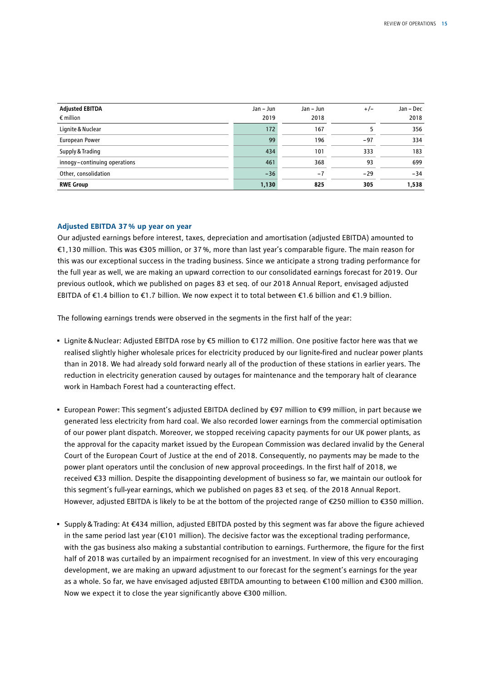| <b>Adjusted EBITDA</b><br>$\epsilon$ million | Jan – Jun<br>2019 | Jan – Jun<br>2018 | $+/-$ | Jan - Dec<br>2018 |
|----------------------------------------------|-------------------|-------------------|-------|-------------------|
| Lignite & Nuclear                            | 172               | 167               |       | 356               |
| European Power                               | 99                | 196               | $-97$ | 334               |
| Supply & Trading                             | 434               | 101               | 333   | 183               |
| innogy-continuing operations                 | 461               | 368               | 93    | 699               |
| Other, consolidation                         | $-36$             | $-7$              | $-29$ | $-34$             |
| <b>RWE Group</b>                             | 1,130             | 825               | 305   | 1,538             |

#### **Adjusted EBITDA 37% up year on year**

Our adjusted earnings before interest, taxes, depreciation and amortisation (adjusted EBITDA) amounted to €1,130 million. This was €305 million, or 37%, more than last year's comparable figure. The main reason for this was our exceptional success in the trading business. Since we anticipate a strong trading performance for the full year as well, we are making an upward correction to our consolidated earnings forecast for 2019. Our previous outlook, which we published on pages 83 et seq. of our 2018 Annual Report, envisaged adjusted EBITDA of €1.4 billion to €1.7 billion. We now expect it to total between €1.6 billion and €1.9 billion.

The following earnings trends were observed in the segments in the first half of the year:

- Lignite&Nuclear: Adjusted EBITDA rose by €5 million to €172 million. One positive factor here was that we realised slightly higher wholesale prices for electricity produced by our lignite-fired and nuclear power plants than in 2018. We had already sold forward nearly all of the production of these stations in earlier years. The reduction in electricity generation caused by outages for maintenance and the temporary halt of clearance work in Hambach Forest had a counteracting effect.
- European Power: This segment's adjusted EBITDA declined by €97 million to €99 million, in part because we generated less electricity from hard coal. We also recorded lower earnings from the commercial optimisation of our power plant dispatch. Moreover, we stopped receiving capacity payments for our UK power plants, as the approval for the capacity market issued by the European Commission was declared invalid by the General Court of the European Court of Justice at the end of 2018. Consequently, no payments may be made to the power plant operators until the conclusion of new approval proceedings. In the first half of 2018, we received €33 million. Despite the disappointing development of business so far, we maintain our outlook for this segment's full-year earnings, which we published on pages 83 et seq. of the 2018 Annual Report. However, adjusted EBITDA is likely to be at the bottom of the projected range of €250 million to €350 million.
- Supply&Trading: At €434 million, adjusted EBITDA posted by this segment was far above the figure achieved in the same period last year (€101 million). The decisive factor was the exceptional trading performance, with the gas business also making a substantial contribution to earnings. Furthermore, the figure for the first half of 2018 was curtailed by an impairment recognised for an investment. In view of this very encouraging development, we are making an upward adjustment to our forecast for the segment's earnings for the year as a whole. So far, we have envisaged adjusted EBITDA amounting to between €100 million and €300 million. Now we expect it to close the year significantly above €300 million.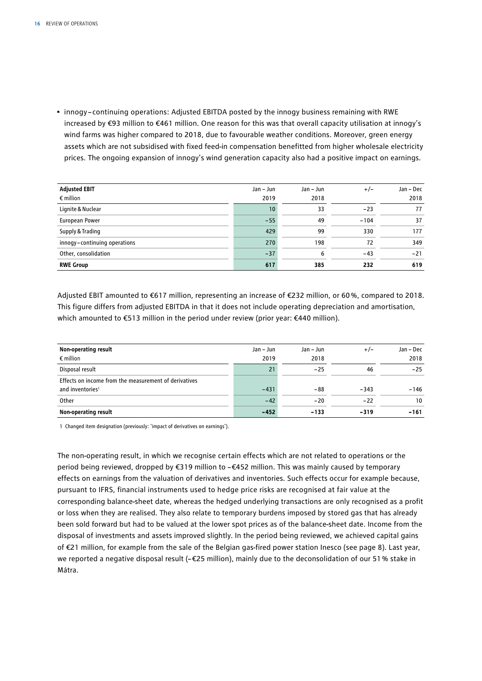• innogy – continuing operations: Adjusted EBITDA posted by the innogy business remaining with RWE increased by €93 million to €461 million. One reason for this was that overall capacity utilisation at innogy's wind farms was higher compared to 2018, due to favourable weather conditions. Moreover, green energy assets which are not subsidised with fixed feed-in compensation benefitted from higher wholesale electricity prices. The ongoing expansion of innogy's wind generation capacity also had a positive impact on earnings.

| <b>Adjusted EBIT</b>         | Jan - Jun       | Jan – Jun | $+/-$  | Jan – Dec |
|------------------------------|-----------------|-----------|--------|-----------|
| $\epsilon$ million           | 2019            | 2018      |        | 2018      |
| Lignite & Nuclear            | 10 <sup>°</sup> | 33        | $-23$  | 77        |
| European Power               | $-55$           | 49        | $-104$ | 37        |
| Supply & Trading             | 429             | 99        | 330    | 177       |
| innogy-continuing operations | 270             | 198       | 72     | 349       |
| Other, consolidation         | $-37$           | 6         | $-43$  | $-21$     |
| <b>RWE Group</b>             | 617             | 385       | 232    | 619       |

Adjusted EBIT amounted to €617 million, representing an increase of €232 million, or 60%, compared to 2018. This figure differs from adjusted EBITDA in that it does not include operating depreciation and amortisation, which amounted to €513 million in the period under review (prior year: €440 million).

| Non-operating result                                  | Jan – Jun | Jan – Jun | $+/-$  | Jan - Dec |
|-------------------------------------------------------|-----------|-----------|--------|-----------|
| $\epsilon$ million                                    | 2019      | 2018      |        | 2018      |
| Disposal result                                       | 21        | $-25$     | 46     | $-25$     |
| Effects on income from the measurement of derivatives |           |           |        |           |
| and inventories <sup>1</sup>                          | $-431$    | -88       | $-343$ | $-146$    |
| Other                                                 | $-42$     | $-20$     | $-22$  | 10        |
| Non-operating result                                  | $-452$    | $-133$    | $-319$ | $-161$    |

1 Changed item designation (previously: 'impact of derivatives on earnings').

The non-operating result, in which we recognise certain effects which are not related to operations or the period being reviewed, dropped by €319 million to –€452 million. This was mainly caused by temporary effects on earnings from the valuation of derivatives and inventories. Such effects occur for example because, pursuant to IFRS, financial instruments used to hedge price risks are recognised at fair value at the corresponding balance-sheet date, whereas the hedged underlying transactions are only recognised as a profit or loss when they are realised. They also relate to temporary burdens imposed by stored gas that has already been sold forward but had to be valued at the lower spot prices as of the balance-sheet date. Income from the disposal of investments and assets improved slightly. In the period being reviewed, we achieved capital gains of €21 million, for example from the sale of the Belgian gas-fired power station Inesco (see page 8). Last year, we reported a negative disposal result (–€25 million), mainly due to the deconsolidation of our 51% stake in Mátra.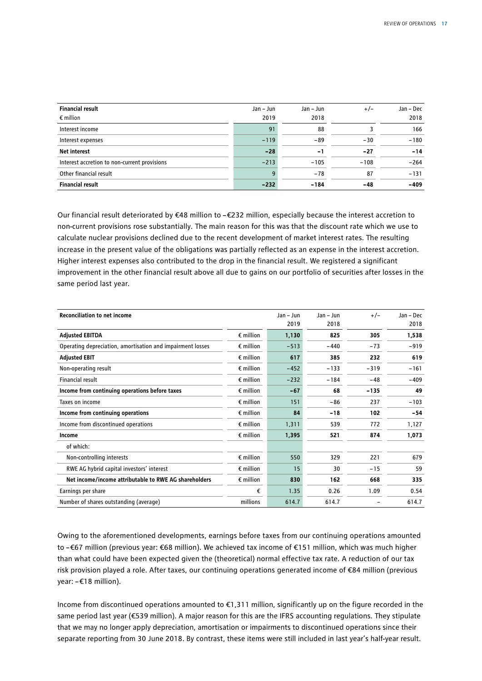| <b>Financial result</b><br>$\epsilon$ million | Jan – Jun<br>2019 | Jan – Jun<br>2018 | $+/-$  | Jan – Dec<br>2018 |
|-----------------------------------------------|-------------------|-------------------|--------|-------------------|
| Interest income                               | 91                | 88                |        | 166               |
| Interest expenses                             | $-119$            | $-89$             | $-30$  | $-180$            |
| <b>Net interest</b>                           | $-28$             | $-1$              | $-27$  | $-14$             |
| Interest accretion to non-current provisions  | $-213$            | $-105$            | $-108$ | $-264$            |
| Other financial result                        | 9                 | $-78$             | 87     | $-131$            |
| <b>Financial result</b>                       | $-232$            | $-184$            | $-48$  | $-409$            |

Our financial result deteriorated by €48 million to –€232 million, especially because the interest accretion to non-current provisions rose substantially. The main reason for this was that the discount rate which we use to calculate nuclear provisions declined due to the recent development of market interest rates. The resulting increase in the present value of the obligations was partially reflected as an expense in the interest accretion. Higher interest expenses also contributed to the drop in the financial result. We registered a significant improvement in the other financial result above all due to gains on our portfolio of securities after losses in the same period last year.

| <b>Reconciliation to net income</b>                        |                    | Jan - Jun | Jan - Jun | $+/-$  | Jan - Dec |
|------------------------------------------------------------|--------------------|-----------|-----------|--------|-----------|
|                                                            |                    | 2019      | 2018      |        | 2018      |
| <b>Adjusted EBITDA</b>                                     | $\epsilon$ million | 1,130     | 825       | 305    | 1,538     |
| Operating depreciation, amortisation and impairment losses | $\epsilon$ million | $-513$    | $-440$    | $-73$  | $-919$    |
| <b>Adjusted EBIT</b>                                       | $\epsilon$ million | 617       | 385       | 232    | 619       |
| Non-operating result                                       | $\epsilon$ million | $-452$    | $-133$    | $-319$ | $-161$    |
| Financial result                                           | $\epsilon$ million | $-232$    | $-184$    | $-48$  | $-409$    |
| Income from continuing operations before taxes             | $\epsilon$ million | $-67$     | 68        | $-135$ | 49        |
| Taxes on income                                            | $\epsilon$ million | 151       | $-86$     | 237    | $-103$    |
| Income from continuing operations                          | $\epsilon$ million | 84        | $-18$     | 102    | $-54$     |
| Income from discontinued operations                        | $\epsilon$ million | 1,311     | 539       | 772    | 1,127     |
| Income                                                     | $\epsilon$ million | 1,395     | 521       | 874    | 1,073     |
| of which:                                                  |                    |           |           |        |           |
| Non-controlling interests                                  | $\epsilon$ million | 550       | 329       | 221    | 679       |
| RWE AG hybrid capital investors' interest                  | $\epsilon$ million | 15        | 30        | $-15$  | 59        |
| Net income/income attributable to RWE AG shareholders      | $\epsilon$ million | 830       | 162       | 668    | 335       |
| Earnings per share                                         | €                  | 1.35      | 0.26      | 1.09   | 0.54      |
| Number of shares outstanding (average)                     | millions           | 614.7     | 614.7     |        | 614.7     |

Owing to the aforementioned developments, earnings before taxes from our continuing operations amounted to –€67 million (previous year: €68 million). We achieved tax income of €151 million, which was much higher than what could have been expected given the (theoretical) normal effective tax rate. A reduction of our tax risk provision played a role. After taxes, our continuing operations generated income of €84 million (previous year: –€18 million).

Income from discontinued operations amounted to €1,311 million, significantly up on the figure recorded in the same period last year (€539 million). A major reason for this are the IFRS accounting regulations. They stipulate that we may no longer apply depreciation, amortisation or impairments to discontinued operations since their separate reporting from 30 June 2018. By contrast, these items were still included in last year's half-year result.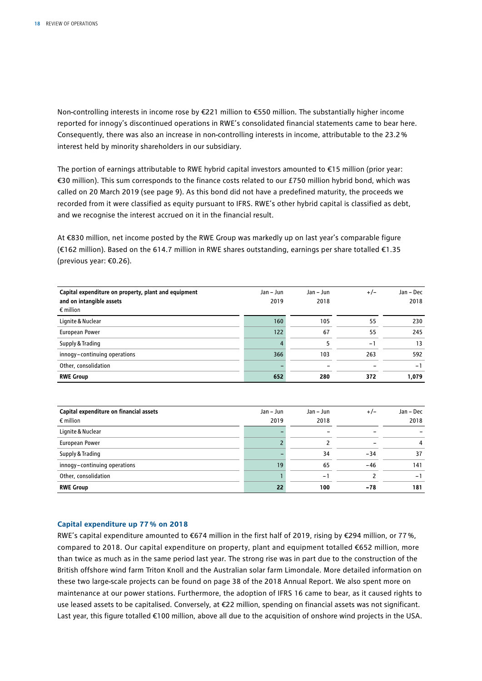Non-controlling interests in income rose by €221 million to €550 million. The substantially higher income reported for innogy's discontinued operations in RWE's consolidated financial statements came to bear here. Consequently, there was also an increase in non-controlling interests in income, attributable to the 23.2% interest held by minority shareholders in our subsidiary.

The portion of earnings attributable to RWE hybrid capital investors amounted to €15 million (prior year: €30 million). This sum corresponds to the finance costs related to our £750 million hybrid bond, which was called on 20 March 2019 (see page 9). As this bond did not have a predefined maturity, the proceeds we recorded from it were classified as equity pursuant to IFRS. RWE's other hybrid capital is classified as debt, and we recognise the interest accrued on it in the financial result.

At €830 million, net income posted by the RWE Group was markedly up on last year's comparable figure (€162 million). Based on the 614.7 million in RWE shares outstanding, earnings per share totalled €1.35 (previous year: €0.26).

| Capital expenditure on property, plant and equipment<br>and on intangible assets | Jan – Jun<br>2019 | Jan – Jun<br>2018 | $+/-$                    | Jan - Dec<br>2018 |
|----------------------------------------------------------------------------------|-------------------|-------------------|--------------------------|-------------------|
| $\epsilon$ million                                                               |                   |                   |                          |                   |
| Lignite & Nuclear                                                                | 160               | 105               | 55                       | 230               |
| European Power                                                                   | 122               | 67                | 55                       | 245               |
| Supply & Trading                                                                 | 4                 |                   | $-1$                     | 13                |
| innogy-continuing operations                                                     | 366               | 103               | 263                      | 592               |
| Other, consolidation                                                             |                   |                   | $\overline{\phantom{0}}$ | -1                |
| <b>RWE Group</b>                                                                 | 652               | 280               | 372                      | 1,079             |

| Capital expenditure on financial assets | Jan – Jun | $Jan - Jun$ | $+/-$ | Jan – Dec                |
|-----------------------------------------|-----------|-------------|-------|--------------------------|
| $\epsilon$ million                      | 2019      | 2018        |       | 2018                     |
| Lignite & Nuclear                       |           |             |       |                          |
| European Power                          |           |             |       | 4                        |
| Supply & Trading                        |           | 34          | $-34$ | 37                       |
| innogy-continuing operations            | 19        | 65          | $-46$ | 141                      |
| Other, consolidation                    |           | $-1$        |       | $\overline{\phantom{0}}$ |
| <b>RWE Group</b>                        | 22        | 100         | $-78$ | 181                      |

#### **Capital expenditure up 77% on 2018**

RWE's capital expenditure amounted to €674 million in the first half of 2019, rising by €294 million, or 77%, compared to 2018. Our capital expenditure on property, plant and equipment totalled €652 million, more than twice as much as in the same period last year. The strong rise was in part due to the construction of the British offshore wind farm Triton Knoll and the Australian solar farm Limondale. More detailed information on these two large-scale projects can be found on page 38 of the 2018 Annual Report. We also spent more on maintenance at our power stations. Furthermore, the adoption of IFRS 16 came to bear, as it caused rights to use leased assets to be capitalised. Conversely, at €22 million, spending on financial assets was not significant. Last year, this figure totalled €100 million, above all due to the acquisition of onshore wind projects in the USA.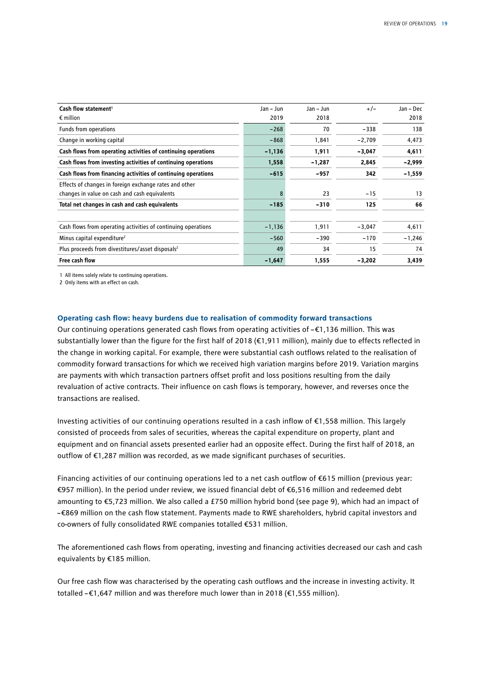| Cash flow statement <sup>1</sup>                              | Jan - Jun | $Jan - Jun$ | $+/-$    | Jan – Dec |
|---------------------------------------------------------------|-----------|-------------|----------|-----------|
| $\epsilon$ million                                            | 2019      | 2018        |          | 2018      |
| Funds from operations                                         | $-268$    | 70          | $-338$   | 138       |
| Change in working capital                                     | $-868$    | 1,841       | $-2,709$ | 4,473     |
| Cash flows from operating activities of continuing operations | $-1,136$  | 1,911       | $-3,047$ | 4,611     |
| Cash flows from investing activities of continuing operations | 1,558     | $-1,287$    | 2,845    | $-2,999$  |
| Cash flows from financing activities of continuing operations | $-615$    | $-957$      | 342      | $-1,559$  |
| Effects of changes in foreign exchange rates and other        |           |             |          |           |
| changes in value on cash and cash equivalents                 | 8         | 23          | $-15$    | 13        |
| Total net changes in cash and cash equivalents                | $-185$    | $-310$      | 125      | 66        |
| Cash flows from operating activities of continuing operations | $-1,136$  | 1,911       | $-3,047$ | 4,611     |
| Minus capital expenditure <sup>2</sup>                        | $-560$    | $-390$      | $-170$   | $-1,246$  |
| Plus proceeds from divestitures/asset disposals <sup>2</sup>  | 49        | 34          | 15       | 74        |
| Free cash flow                                                | $-1,647$  | 1,555       | $-3,202$ | 3,439     |

1 All items solely relate to continuing operations.

2 Only items with an effect on cash.

#### **Operating cash flow: heavy burdens due to realisation of commodity forward transactions**

Our continuing operations generated cash flows from operating activities of –€1,136 million. This was substantially lower than the figure for the first half of 2018 (€1,911 million), mainly due to effects reflected in the change in working capital. For example, there were substantial cash outflows related to the realisation of commodity forward transactions for which we received high variation margins before 2019. Variation margins are payments with which transaction partners offset profit and loss positions resulting from the daily revaluation of active contracts. Their influence on cash flows is temporary, however, and reverses once the transactions are realised.

Investing activities of our continuing operations resulted in a cash inflow of €1,558 million. This largely consisted of proceeds from sales of securities, whereas the capital expenditure on property, plant and equipment and on financial assets presented earlier had an opposite effect. During the first half of 2018, an outflow of €1,287 million was recorded, as we made significant purchases of securities.

Financing activities of our continuing operations led to a net cash outflow of €615 million (previous year: €957 million). In the period under review, we issued financial debt of €6,516 million and redeemed debt amounting to €5,723 million. We also called a £750 million hybrid bond (see page 9), which had an impact of –€869 million on the cash flow statement. Payments made to RWE shareholders, hybrid capital investors and co-owners of fully consolidated RWE companies totalled €531 million.

The aforementioned cash flows from operating, investing and financing activities decreased our cash and cash equivalents by €185 million.

Our free cash flow was characterised by the operating cash outflows and the increase in investing activity. It totalled –€1,647 million and was therefore much lower than in 2018 (€1,555 million).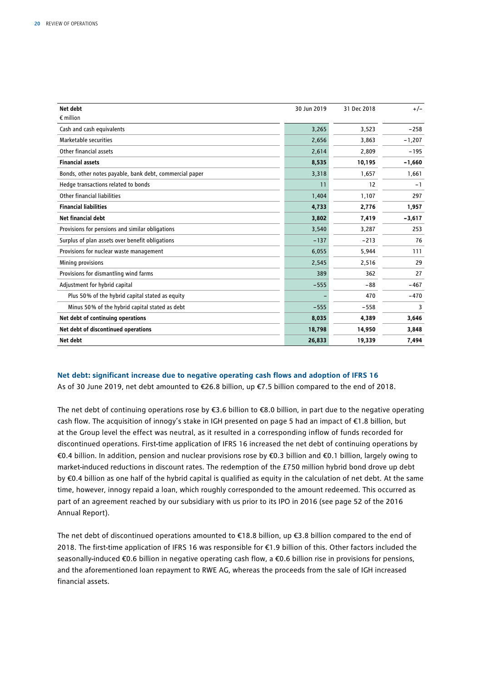| <b>Net debt</b>                                         | 30 Jun 2019 | 31 Dec 2018 | $+/-$    |
|---------------------------------------------------------|-------------|-------------|----------|
| $\epsilon$ million                                      |             |             |          |
| Cash and cash equivalents                               | 3,265       | 3,523       | $-258$   |
| Marketable securities                                   | 2,656       | 3,863       | $-1,207$ |
| Other financial assets                                  | 2,614       | 2,809       | $-195$   |
| <b>Financial assets</b>                                 | 8,535       | 10,195      | $-1,660$ |
| Bonds, other notes payable, bank debt, commercial paper | 3,318       | 1,657       | 1,661    |
| Hedge transactions related to bonds                     | 11          | 12          | $-1$     |
| Other financial liabilities                             | 1,404       | 1,107       | 297      |
| <b>Financial liabilities</b>                            | 4,733       | 2,776       | 1,957    |
| Net financial debt                                      | 3,802       | 7,419       | $-3,617$ |
| Provisions for pensions and similar obligations         | 3,540       | 3,287       | 253      |
| Surplus of plan assets over benefit obligations         | $-137$      | $-213$      | 76       |
| Provisions for nuclear waste management                 | 6,055       | 5,944       | 111      |
| Mining provisions                                       | 2,545       | 2,516       | 29       |
| Provisions for dismantling wind farms                   | 389         | 362         | 27       |
| Adjustment for hybrid capital                           | $-555$      | $-88$       | $-467$   |
| Plus 50% of the hybrid capital stated as equity         |             | 470         | $-470$   |
| Minus 50% of the hybrid capital stated as debt          | $-555$      | $-558$      | 3        |
| Net debt of continuing operations                       | 8,035       | 4,389       | 3,646    |
| Net debt of discontinued operations                     | 18,798      | 14,950      | 3,848    |
| Net debt                                                | 26,833      | 19,339      | 7,494    |

#### **Net debt: significant increase due to negative operating cash flows and adoption of IFRS 16**

As of 30 June 2019, net debt amounted to €26.8 billion, up €7.5 billion compared to the end of 2018.

The net debt of continuing operations rose by €3.6 billion to €8.0 billion, in part due to the negative operating cash flow. The acquisition of innogy's stake in IGH presented on page 5 had an impact of €1.8 billion, but at the Group level the effect was neutral, as it resulted in a corresponding inflow of funds recorded for discontinued operations. First-time application of IFRS 16 increased the net debt of continuing operations by €0.4 billion. In addition, pension and nuclear provisions rose by €0.3 billion and €0.1 billion, largely owing to market-induced reductions in discount rates. The redemption of the £750 million hybrid bond drove up debt by €0.4 billion as one half of the hybrid capital is qualified as equity in the calculation of net debt. At the same time, however, innogy repaid a loan, which roughly corresponded to the amount redeemed. This occurred as part of an agreement reached by our subsidiary with us prior to its IPO in 2016 (see page 52 of the 2016 Annual Report).

The net debt of discontinued operations amounted to  $\epsilon$ 18.8 billion, up  $\epsilon$ 3.8 billion compared to the end of 2018. The first-time application of IFRS 16 was responsible for €1.9 billion of this. Other factors included the seasonally-induced €0.6 billion in negative operating cash flow, a €0.6 billion rise in provisions for pensions, and the aforementioned loan repayment to RWE AG, whereas the proceeds from the sale of IGH increased financial assets.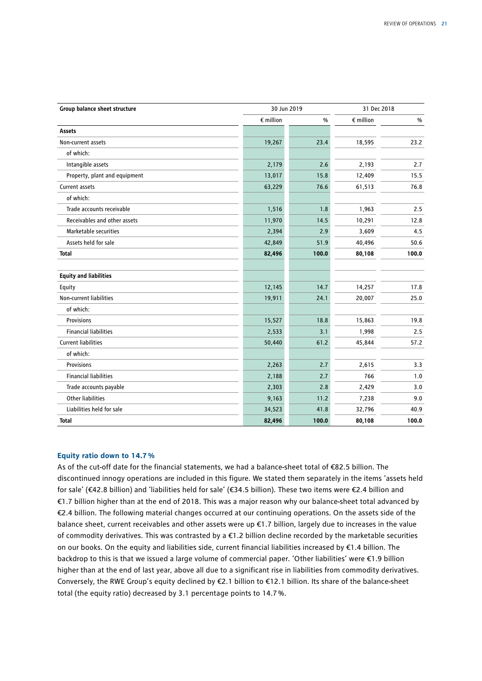| Group balance sheet structure | 30 Jun 2019        |       | 31 Dec 2018        |       |
|-------------------------------|--------------------|-------|--------------------|-------|
|                               | $\epsilon$ million | $\%$  | $\epsilon$ million | $\%$  |
| Assets                        |                    |       |                    |       |
| Non-current assets            | 19,267             | 23.4  | 18,595             | 23.2  |
| of which:                     |                    |       |                    |       |
| Intangible assets             | 2,179              | 2.6   | 2,193              | 2.7   |
| Property, plant and equipment | 13,017             | 15.8  | 12,409             | 15.5  |
| Current assets                | 63,229             | 76.6  | 61,513             | 76.8  |
| of which:                     |                    |       |                    |       |
| Trade accounts receivable     | 1,516              | 1.8   | 1,963              | 2.5   |
| Receivables and other assets  | 11,970             | 14.5  | 10,291             | 12.8  |
| Marketable securities         | 2,394              | 2.9   | 3,609              | 4.5   |
| Assets held for sale          | 42,849             | 51.9  | 40,496             | 50.6  |
| <b>Total</b>                  | 82,496             | 100.0 | 80,108             | 100.0 |
| <b>Equity and liabilities</b> |                    |       |                    |       |
| Equity                        | 12,145             | 14.7  | 14,257             | 17.8  |
| Non-current liabilities       | 19,911             | 24.1  | 20,007             | 25.0  |
| of which:                     |                    |       |                    |       |
| <b>Provisions</b>             | 15,527             | 18.8  | 15,863             | 19.8  |
| <b>Financial liabilities</b>  | 2,533              | 3.1   | 1,998              | 2.5   |
| <b>Current liabilities</b>    | 50,440             | 61.2  | 45,844             | 57.2  |
| of which:                     |                    |       |                    |       |
| Provisions                    | 2,263              | 2.7   | 2,615              | 3.3   |
| <b>Financial liabilities</b>  | 2,188              | 2.7   | 766                | 1.0   |
| Trade accounts payable        | 2,303              | 2.8   | 2,429              | 3.0   |
| <b>Other liabilities</b>      | 9,163              | 11.2  | 7,238              | 9.0   |
| Liabilities held for sale     | 34,523             | 41.8  | 32,796             | 40.9  |
| <b>Total</b>                  | 82,496             | 100.0 | 80,108             | 100.0 |

#### **Equity ratio down to 14.7%**

As of the cut-off date for the financial statements, we had a balance-sheet total of €82.5 billion. The discontinued innogy operations are included in this figure. We stated them separately in the items 'assets held for sale' (€42.8 billion) and 'liabilities held for sale' (€34.5 billion). These two items were €2.4 billion and €1.7 billion higher than at the end of 2018. This was a major reason why our balance-sheet total advanced by €2.4 billion. The following material changes occurred at our continuing operations. On the assets side of the balance sheet, current receivables and other assets were up €1.7 billion, largely due to increases in the value of commodity derivatives. This was contrasted by a  $\epsilon$ 1.2 billion decline recorded by the marketable securities on our books. On the equity and liabilities side, current financial liabilities increased by €1.4 billion. The backdrop to this is that we issued a large volume of commercial paper. 'Other liabilities' were €1.9 billion higher than at the end of last year, above all due to a significant rise in liabilities from commodity derivatives. Conversely, the RWE Group's equity declined by €2.1 billion to €12.1 billion. Its share of the balance-sheet total (the equity ratio) decreased by 3.1 percentage points to 14.7%.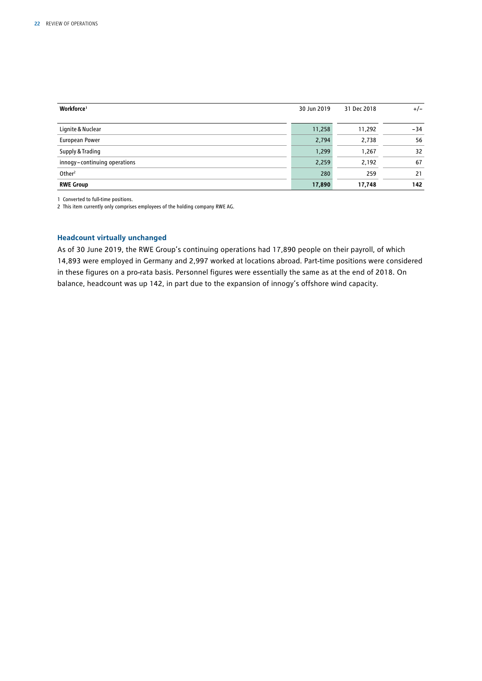| Workforce <sup>1</sup>       | 30 Jun 2019 | 31 Dec 2018 | $+/-$ |
|------------------------------|-------------|-------------|-------|
|                              |             |             |       |
| Lignite & Nuclear            | 11,258      | 11,292      | $-34$ |
| European Power               | 2,794       | 2,738       | 56    |
| Supply & Trading             | 1,299       | 1,267       | 32    |
| innogy-continuing operations | 2,259       | 2,192       | 67    |
| Other <sup>2</sup>           | 280         | 259         | 21    |
| <b>RWE Group</b>             | 17,890      | 17,748      | 142   |

1 Converted to full-time positions.

2 This item currently only comprises employees of the holding company RWE AG.

#### **Headcount virtually unchanged**

As of 30 June 2019, the RWE Group's continuing operations had 17,890 people on their payroll, of which 14,893 were employed in Germany and 2,997 worked at locations abroad. Part-time positions were considered in these figures on a pro-rata basis. Personnel figures were essentially the same as at the end of 2018. On balance, headcount was up 142, in part due to the expansion of innogy's offshore wind capacity.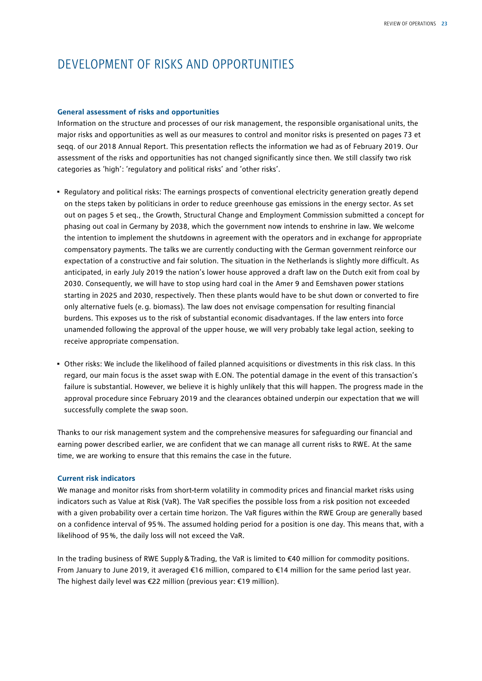# DEVELOPMENT OF RISKS AND OPPORTUNITIES

#### **General assessment of risks and opportunities**

Information on the structure and processes of our risk management, the responsible organisational units, the major risks and opportunities as well as our measures to control and monitor risks is presented on pages 73 et seqq. of our 2018 Annual Report. This presentation reflects the information we had as of February 2019. Our assessment of the risks and opportunities has not changed significantly since then. We still classify two risk categories as 'high': 'regulatory and political risks' and 'other risks'.

- Regulatory and political risks: The earnings prospects of conventional electricity generation greatly depend on the steps taken by politicians in order to reduce greenhouse gas emissions in the energy sector. As set out on pages 5 et seq., the Growth, Structural Change and Employment Commission submitted a concept for phasing out coal in Germany by 2038, which the government now intends to enshrine in law. We welcome the intention to implement the shutdowns in agreement with the operators and in exchange for appropriate compensatory payments. The talks we are currently conducting with the German government reinforce our expectation of a constructive and fair solution. The situation in the Netherlands is slightly more difficult. As anticipated, in early July 2019 the nation's lower house approved a draft law on the Dutch exit from coal by 2030. Consequently, we will have to stop using hard coal in the Amer 9 and Eemshaven power stations starting in 2025 and 2030, respectively. Then these plants would have to be shut down or converted to fire only alternative fuels (e.g. biomass). The law does not envisage compensation for resulting financial burdens. This exposes us to the risk of substantial economic disadvantages. If the law enters into force unamended following the approval of the upper house, we will very probably take legal action, seeking to receive appropriate compensation.
- Other risks: We include the likelihood of failed planned acquisitions or divestments in this risk class. In this regard, our main focus is the asset swap with E.ON. The potential damage in the event of this transaction's failure is substantial. However, we believe it is highly unlikely that this will happen. The progress made in the approval procedure since February 2019 and the clearances obtained underpin our expectation that we will successfully complete the swap soon.

Thanks to our risk management system and the comprehensive measures for safeguarding our financial and earning power described earlier, we are confident that we can manage all current risks to RWE. At the same time, we are working to ensure that this remains the case in the future.

#### **Current risk indicators**

We manage and monitor risks from short-term volatility in commodity prices and financial market risks using indicators such as Value at Risk (VaR). The VaR specifies the possible loss from a risk position not exceeded with a given probability over a certain time horizon. The VaR figures within the RWE Group are generally based on a confidence interval of 95%. The assumed holding period for a position is one day. This means that, with a likelihood of 95%, the daily loss will not exceed the VaR.

In the trading business of RWE Supply&Trading, the VaR is limited to €40 million for commodity positions. From January to June 2019, it averaged €16 million, compared to €14 million for the same period last year. The highest daily level was €22 million (previous year: €19 million).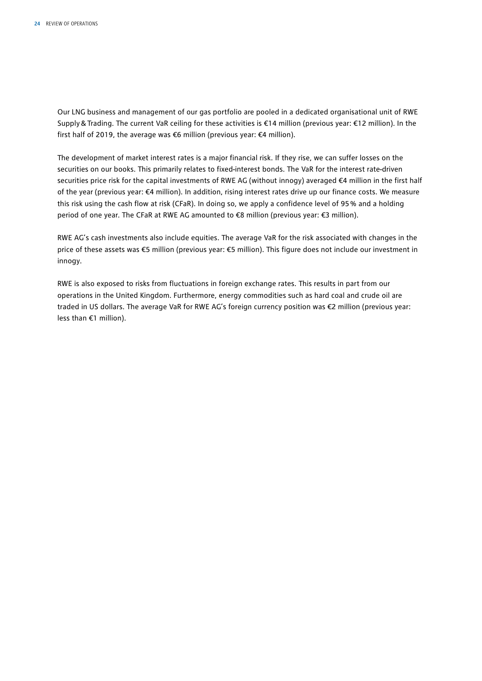Our LNG business and management of our gas portfolio are pooled in a dedicated organisational unit of RWE Supply&Trading. The current VaR ceiling for these activities is €14 million (previous year: €12 million). In the first half of 2019, the average was €6 million (previous year: €4 million).

The development of market interest rates is a major financial risk. If they rise, we can suffer losses on the securities on our books. This primarily relates to fixed-interest bonds. The VaR for the interest rate-driven securities price risk for the capital investments of RWE AG (without innogy) averaged €4 million in the first half of the year (previous year: €4 million). In addition, rising interest rates drive up our finance costs. We measure this risk using the cash flow at risk (CFaR). In doing so, we apply a confidence level of 95% and a holding period of one year. The CFaR at RWE AG amounted to €8 million (previous year: €3 million).

RWE AG's cash investments also include equities. The average VaR for the risk associated with changes in the price of these assets was €5 million (previous year: €5 million). This figure does not include our investment in innogy.

RWE is also exposed to risks from fluctuations in foreign exchange rates. This results in part from our operations in the United Kingdom. Furthermore, energy commodities such as hard coal and crude oil are traded in US dollars. The average VaR for RWE AG's foreign currency position was €2 million (previous year: less than €1 million).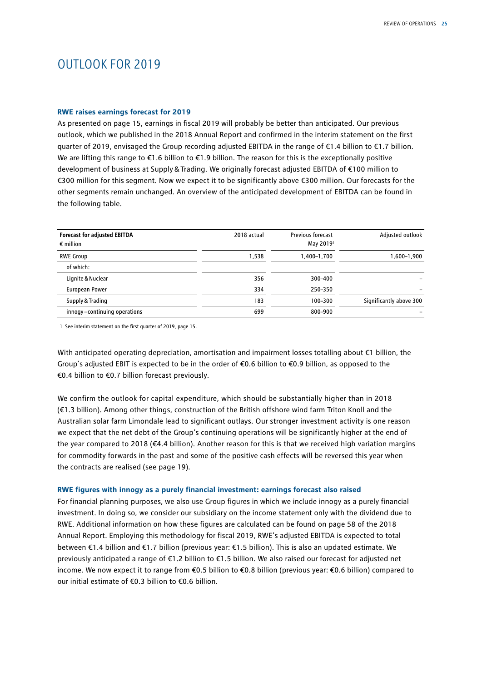# OUTLOOK FOR 2019

#### **RWE raises earnings forecast for 2019**

As presented on page 15, earnings in fiscal 2019 will probably be better than anticipated. Our previous outlook, which we published in the 2018 Annual Report and confirmed in the interim statement on the first quarter of 2019, envisaged the Group recording adjusted EBITDA in the range of €1.4 billion to €1.7 billion. We are lifting this range to  $\epsilon$ 1.6 billion to  $\epsilon$ 1.9 billion. The reason for this is the exceptionally positive development of business at Supply&Trading. We originally forecast adjusted EBITDA of €100 million to €300 million for this segment. Now we expect it to be significantly above €300 million. Our forecasts for the other segments remain unchanged. An overview of the anticipated development of EBITDA can be found in the following table.

| <b>Forecast for adjusted EBITDA</b><br>$\epsilon$ million | 2018 actual | <b>Previous forecast</b><br>May 2019 <sup>1</sup> | Adjusted outlook        |
|-----------------------------------------------------------|-------------|---------------------------------------------------|-------------------------|
| <b>RWE Group</b>                                          | 1.538       | 1,400-1,700                                       | 1,600–1,900             |
| of which:                                                 |             |                                                   |                         |
| Lignite & Nuclear                                         | 356         | 300-400                                           |                         |
| European Power                                            | 334         | 250-350                                           |                         |
| Supply & Trading                                          | 183         | 100-300                                           | Significantly above 300 |
| innogy-continuing operations                              | 699         | 800-900                                           |                         |

1 See interim statement on the first quarter of 2019, page 15.

With anticipated operating depreciation, amortisation and impairment losses totalling about €1 billion, the Group's adjusted EBIT is expected to be in the order of  $\epsilon$ 0.6 billion to  $\epsilon$ 0.9 billion, as opposed to the €0.4 billion to €0.7 billion forecast previously.

We confirm the outlook for capital expenditure, which should be substantially higher than in 2018 (€1.3 billion). Among other things, construction of the British offshore wind farm Triton Knoll and the Australian solar farm Limondale lead to significant outlays. Our stronger investment activity is one reason we expect that the net debt of the Group's continuing operations will be significantly higher at the end of the year compared to 2018 (€4.4 billion). Another reason for this is that we received high variation margins for commodity forwards in the past and some of the positive cash effects will be reversed this year when the contracts are realised (see page 19).

#### **RWE figures with innogy as a purely financial investment: earnings forecast also raised**

For financial planning purposes, we also use Group figures in which we include innogy as a purely financial investment. In doing so, we consider our subsidiary on the income statement only with the dividend due to RWE. Additional information on how these figures are calculated can be found on page 58 of the 2018 Annual Report. Employing this methodology for fiscal 2019, RWE's adjusted EBITDA is expected to total between €1.4 billion and €1.7 billion (previous year: €1.5 billion). This is also an updated estimate. We previously anticipated a range of €1.2 billion to €1.5 billion. We also raised our forecast for adjusted net income. We now expect it to range from €0.5 billion to €0.8 billion (previous year: €0.6 billion) compared to our initial estimate of €0.3 billion to €0.6 billion.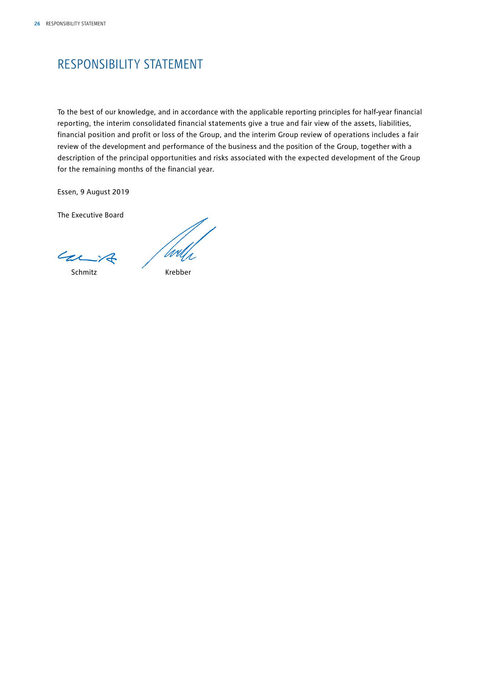# RESPONSIBILITY STATEMENT

To the best of our knowledge, and in accordance with the applicable reporting principles for half-year financial reporting, the interim consolidated financial statements give a true and fair view of the assets, liabilities, financial position and profit or loss of the Group, and the interim Group review of operations includes a fair review of the development and performance of the business and the position of the Group, together with a description of the principal opportunities and risks associated with the expected development of the Group for the remaining months of the financial year.

Essen, 9 August 2019

The Executive Board

Carit

Schmitz Krebber

'Urh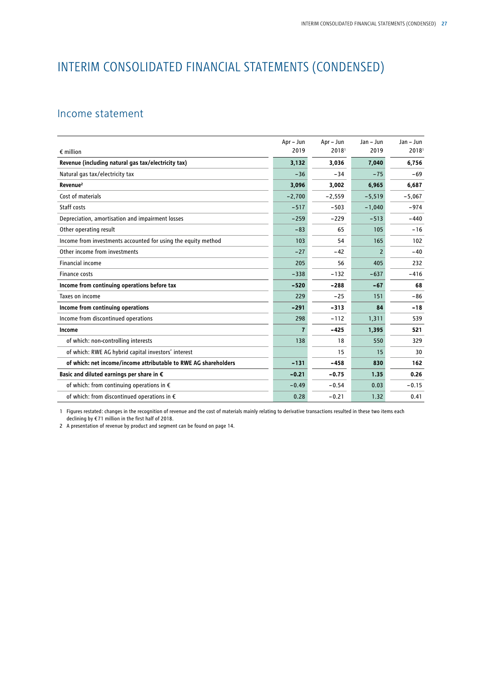# INTERIM CONSOLIDATED FINANCIAL STATEMENTS (CONDENSED)

### Income statement

|                                                                 | Apr - Jun | Apr - Jun | Jan - Jun | Jan - Jun         |
|-----------------------------------------------------------------|-----------|-----------|-----------|-------------------|
| $\epsilon$ million                                              | 2019      | 20181     | 2019      | 2018 <sup>1</sup> |
| Revenue (including natural gas tax/electricity tax)             | 3,132     | 3,036     | 7,040     | 6,756             |
| Natural gas tax/electricity tax                                 | $-36$     | $-34$     | $-75$     | $-69$             |
| Revenue <sup>2</sup>                                            | 3,096     | 3,002     | 6,965     | 6,687             |
| Cost of materials                                               | $-2,700$  | $-2,559$  | $-5,519$  | $-5,067$          |
| Staff costs                                                     | $-517$    | $-503$    | $-1,040$  | $-974$            |
| Depreciation, amortisation and impairment losses                | $-259$    | $-229$    | $-513$    | $-440$            |
| Other operating result                                          | $-83$     | 65        | 105       | $-16$             |
| Income from investments accounted for using the equity method   | 103       | 54        | 165       | 102               |
| Other income from investments                                   | $-27$     | $-42$     | 2         | $-40$             |
| <b>Financial income</b>                                         | 205       | 56        | 405       | 232               |
| <b>Finance costs</b>                                            | $-338$    | $-132$    | $-637$    | $-416$            |
| Income from continuing operations before tax                    | $-520$    | $-288$    | $-67$     | 68                |
| Taxes on income                                                 | 229       | $-25$     | 151       | $-86$             |
| Income from continuing operations                               | $-291$    | $-313$    | 84        | $-18$             |
| Income from discontinued operations                             | 298       | $-112$    | 1,311     | 539               |
| Income                                                          | 7         | $-425$    | 1,395     | 521               |
| of which: non-controlling interests                             | 138       | 18        | 550       | 329               |
| of which: RWE AG hybrid capital investors' interest             |           | 15        | 15        | 30                |
| of which: net income/income attributable to RWE AG shareholders | $-131$    | $-458$    | 830       | 162               |
| Basic and diluted earnings per share in €                       | $-0.21$   | $-0.75$   | 1.35      | 0.26              |
| of which: from continuing operations in $\epsilon$              | $-0.49$   | $-0.54$   | 0.03      | $-0.15$           |
| of which: from discontinued operations in $\epsilon$            | 0.28      | $-0.21$   | 1.32      | 0.41              |

1 Figures restated: changes in the recognition of revenue and the cost of materials mainly relating to derivative transactions resulted in these two items each declining by € 71 million in the first half of 2018.

2 A presentation of revenue by product and segment can be found on page 14.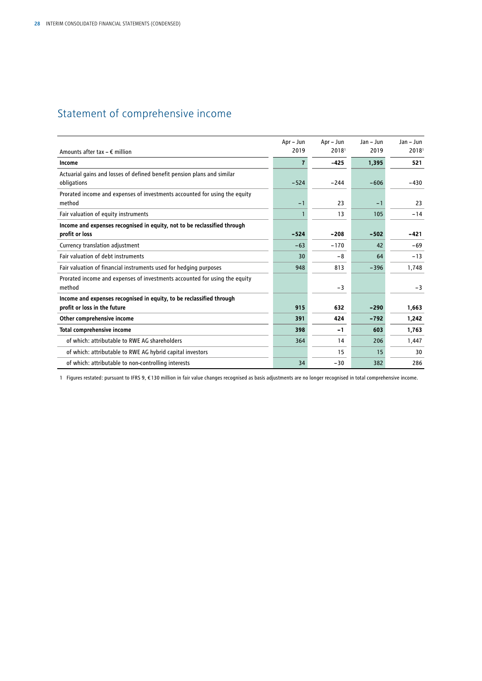# Statement of comprehensive income

|                                                                                            | Apr - Jun | Apr - Jun         | Jan - Jun | $Jan - Jun$       |
|--------------------------------------------------------------------------------------------|-----------|-------------------|-----------|-------------------|
| Amounts after tax $- \epsilon$ million                                                     | 2019      | 2018 <sup>1</sup> | 2019      | 2018 <sup>1</sup> |
| Income                                                                                     | 7         | $-425$            | 1,395     | 521               |
| Actuarial gains and losses of defined benefit pension plans and similar<br>obligations     | $-524$    | $-244$            | $-606$    | $-430$            |
| Prorated income and expenses of investments accounted for using the equity<br>method       | $-1$      | 23                | $-1$      | 23                |
| Fair valuation of equity instruments                                                       |           | 13                | 105       | $-14$             |
| Income and expenses recognised in equity, not to be reclassified through<br>profit or loss | $-524$    | $-208$            | $-502$    | -421              |
| Currency translation adjustment                                                            | $-63$     | $-170$            | 42        | $-69$             |
| Fair valuation of debt instruments                                                         | 30        | $-8$              | 64        | $-13$             |
| Fair valuation of financial instruments used for hedging purposes                          | 948       | 813               | $-396$    | 1,748             |
| Prorated income and expenses of investments accounted for using the equity<br>method       |           | $-3$              |           | $-3$              |
| Income and expenses recognised in equity, to be reclassified through                       |           |                   |           |                   |
| profit or loss in the future                                                               | 915       | 632               | $-290$    | 1,663             |
| Other comprehensive income                                                                 | 391       | 424               | $-792$    | 1,242             |
| <b>Total comprehensive income</b>                                                          | 398       | -1                | 603       | 1,763             |
| of which: attributable to RWE AG shareholders                                              | 364       | 14                | 206       | 1,447             |
| of which: attributable to RWE AG hybrid capital investors                                  |           | 15                | 15        | 30                |
| of which: attributable to non-controlling interests                                        | 34        | $-30$             | 382       | 286               |

1 Figures restated: pursuant to IFRS 9, € 130 million in fair value changes recognised as basis adjustments are no longer recognised in total comprehensive income.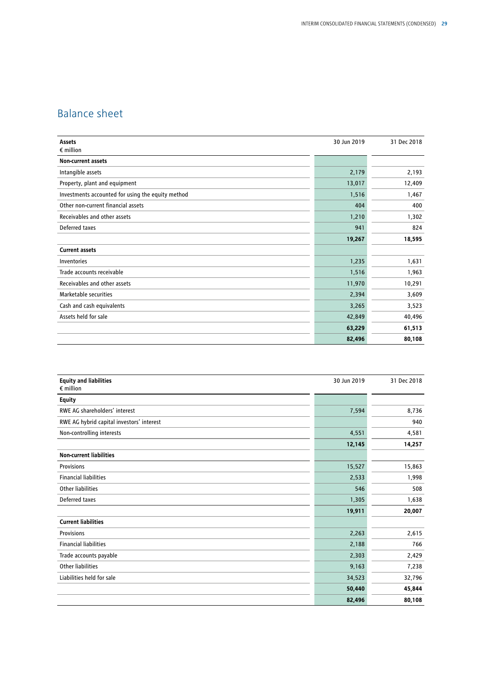# Balance sheet

| Assets                                            | 30 Jun 2019 | 31 Dec 2018 |
|---------------------------------------------------|-------------|-------------|
| $\epsilon$ million                                |             |             |
| <b>Non-current assets</b>                         |             |             |
| Intangible assets                                 | 2,179       | 2,193       |
| Property, plant and equipment                     | 13,017      | 12,409      |
| Investments accounted for using the equity method | 1,516       | 1,467       |
| Other non-current financial assets                | 404         | 400         |
| Receivables and other assets                      | 1,210       | 1,302       |
| Deferred taxes                                    | 941         | 824         |
|                                                   | 19,267      | 18,595      |
| <b>Current assets</b>                             |             |             |
| Inventories                                       | 1,235       | 1,631       |
| Trade accounts receivable                         | 1,516       | 1,963       |
| Receivables and other assets                      | 11,970      | 10,291      |
| Marketable securities                             | 2,394       | 3,609       |
| Cash and cash equivalents                         | 3,265       | 3,523       |
| Assets held for sale                              | 42,849      | 40,496      |
|                                                   | 63,229      | 61,513      |
|                                                   | 82,496      | 80,108      |

| <b>Equity and liabilities</b><br>$\epsilon$ million | 30 Jun 2019 | 31 Dec 2018 |
|-----------------------------------------------------|-------------|-------------|
| <b>Equity</b>                                       |             |             |
| RWE AG shareholders' interest                       | 7,594       | 8,736       |
| RWE AG hybrid capital investors' interest           |             | 940         |
| Non-controlling interests                           | 4,551       | 4,581       |
|                                                     | 12,145      | 14,257      |
| <b>Non-current liabilities</b>                      |             |             |
| Provisions                                          | 15,527      | 15,863      |
| <b>Financial liabilities</b>                        | 2,533       | 1,998       |
| <b>Other liabilities</b>                            | 546         | 508         |
| Deferred taxes                                      | 1,305       | 1,638       |
|                                                     | 19,911      | 20,007      |
| <b>Current liabilities</b>                          |             |             |
| Provisions                                          | 2,263       | 2,615       |
| <b>Financial liabilities</b>                        | 2,188       | 766         |
| Trade accounts payable                              | 2,303       | 2,429       |
| <b>Other liabilities</b>                            | 9,163       | 7,238       |
| Liabilities held for sale                           | 34,523      | 32,796      |
|                                                     | 50,440      | 45,844      |
|                                                     | 82,496      | 80,108      |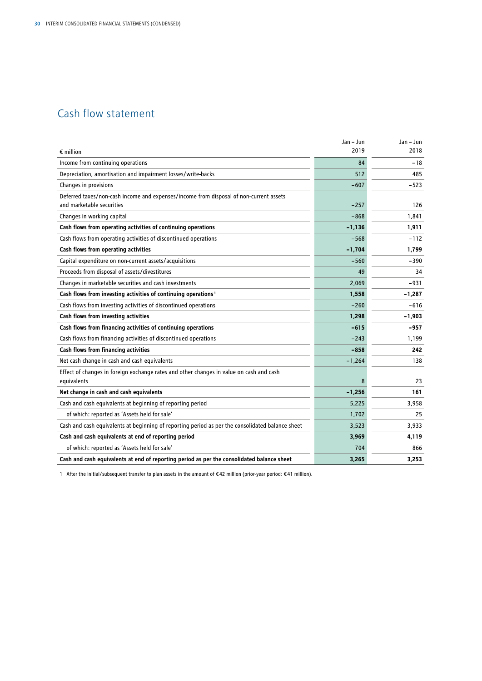# Cash flow statement

|                                                                                                                     | Jan - Jun | $Jan - Jun$ |
|---------------------------------------------------------------------------------------------------------------------|-----------|-------------|
| $\epsilon$ million                                                                                                  | 2019      | 2018        |
| Income from continuing operations                                                                                   | 84        | $-18$       |
| Depreciation, amortisation and impairment losses/write-backs                                                        | 512       | 485         |
| Changes in provisions                                                                                               | $-607$    | -523        |
| Deferred taxes/non-cash income and expenses/income from disposal of non-current assets<br>and marketable securities | $-257$    | 126         |
| Changes in working capital                                                                                          | $-868$    | 1,841       |
| Cash flows from operating activities of continuing operations                                                       | $-1,136$  | 1,911       |
| Cash flows from operating activities of discontinued operations                                                     | $-568$    | $-112$      |
| Cash flows from operating activities                                                                                | $-1,704$  | 1,799       |
| Capital expenditure on non-current assets/acquisitions                                                              | $-560$    | $-390$      |
| Proceeds from disposal of assets/divestitures                                                                       | 49        | 34          |
| Changes in marketable securities and cash investments                                                               | 2,069     | -931        |
| Cash flows from investing activities of continuing operations <sup>1</sup>                                          | 1,558     | $-1,287$    |
| Cash flows from investing activities of discontinued operations                                                     | $-260$    | $-616$      |
| Cash flows from investing activities                                                                                | 1,298     | $-1,903$    |
| Cash flows from financing activities of continuing operations                                                       | $-615$    | $-957$      |
| Cash flows from financing activities of discontinued operations                                                     | $-243$    | 1,199       |
| Cash flows from financing activities                                                                                | $-858$    | 242         |
| Net cash change in cash and cash equivalents                                                                        | $-1,264$  | 138         |
| Effect of changes in foreign exchange rates and other changes in value on cash and cash<br>equivalents              | 8         | 23          |
| Net change in cash and cash equivalents                                                                             | $-1,256$  | 161         |
| Cash and cash equivalents at beginning of reporting period                                                          | 5,225     | 3,958       |
| of which: reported as 'Assets held for sale'                                                                        | 1,702     | 25          |
| Cash and cash equivalents at beginning of reporting period as per the consolidated balance sheet                    | 3,523     | 3,933       |
| Cash and cash equivalents at end of reporting period                                                                | 3,969     | 4,119       |
| of which: reported as 'Assets held for sale'                                                                        | 704       | 866         |
| Cash and cash equivalents at end of reporting period as per the consolidated balance sheet                          | 3,265     | 3.253       |

1 After the initial/subsequent transfer to plan assets in the amount of € 42 million (prior-year period: € 41 million).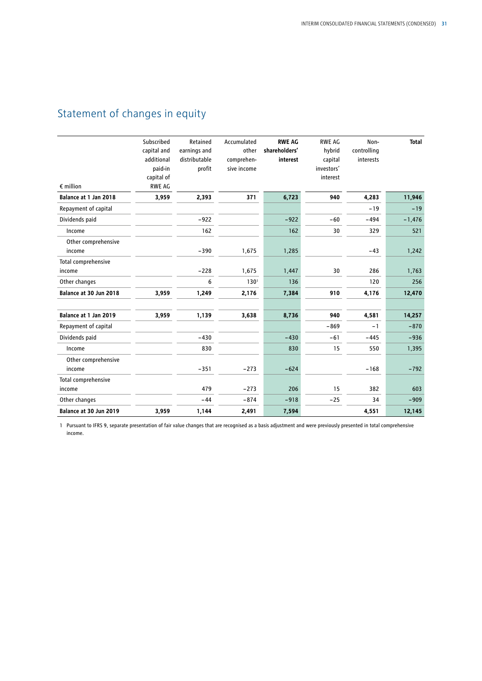# Statement of changes in equity

| $\epsilon$ million            | Subscribed<br>capital and<br>additional<br>paid-in<br>capital of<br><b>RWE AG</b> | Retained<br>earnings and<br>distributable<br>profit | Accumulated<br>other<br>comprehen-<br>sive income | <b>RWE AG</b><br>shareholders'<br>interest | <b>RWE AG</b><br>hybrid<br>capital<br>investors'<br>interest | Non-<br>controlling<br>interests | <b>Total</b> |
|-------------------------------|-----------------------------------------------------------------------------------|-----------------------------------------------------|---------------------------------------------------|--------------------------------------------|--------------------------------------------------------------|----------------------------------|--------------|
| Balance at 1 Jan 2018         | 3,959                                                                             | 2,393                                               | 371                                               | 6,723                                      | 940                                                          | 4,283                            | 11,946       |
| Repayment of capital          |                                                                                   |                                                     |                                                   |                                            |                                                              | $-19$                            | $-19$        |
| Dividends paid                |                                                                                   | $-922$                                              |                                                   | $-922$                                     | $-60$                                                        | $-494$                           | $-1,476$     |
| Income                        |                                                                                   | 162                                                 |                                                   | 162                                        | 30                                                           | 329                              | 521          |
| Other comprehensive<br>income |                                                                                   | $-390$                                              | 1,675                                             | 1,285                                      |                                                              | $-43$                            | 1,242        |
| Total comprehensive<br>income |                                                                                   | $-228$                                              | 1,675                                             | 1,447                                      | 30                                                           | 286                              | 1,763        |
| Other changes                 |                                                                                   | 6                                                   | 130 <sup>1</sup>                                  | 136                                        |                                                              | 120                              | 256          |
| Balance at 30 Jun 2018        | 3,959                                                                             | 1,249                                               | 2,176                                             | 7,384                                      | 910                                                          | 4,176                            | 12,470       |
| Balance at 1 Jan 2019         | 3,959                                                                             | 1,139                                               | 3,638                                             | 8,736                                      | 940                                                          | 4,581                            | 14,257       |
| Repayment of capital          |                                                                                   |                                                     |                                                   |                                            | $-869$                                                       | $-1$                             | $-870$       |
| Dividends paid                |                                                                                   | $-430$                                              |                                                   | $-430$                                     | $-61$                                                        | $-445$                           | $-936$       |
| Income                        |                                                                                   | 830                                                 |                                                   | 830                                        | 15                                                           | 550                              | 1,395        |
| Other comprehensive<br>income |                                                                                   | $-351$                                              | $-273$                                            | $-624$                                     |                                                              | $-168$                           | $-792$       |
| Total comprehensive<br>income |                                                                                   | 479                                                 | $-273$                                            | 206                                        | 15                                                           | 382                              | 603          |
| Other changes                 |                                                                                   | $-44$                                               | $-874$                                            | $-918$                                     | $-25$                                                        | 34                               | $-909$       |
| Balance at 30 Jun 2019        | 3,959                                                                             | 1,144                                               | 2,491                                             | 7,594                                      |                                                              | 4,551                            | 12,145       |

1 Pursuant to IFRS 9, separate presentation of fair value changes that are recognised as a basis adjustment and were previously presented in total comprehensive income.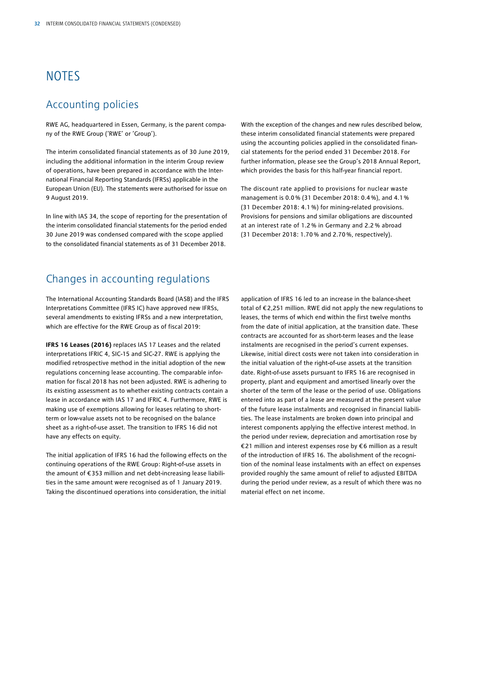# **NOTES**

### Accounting policies

RWE AG, headquartered in Essen, Germany, is the parent company of the RWE Group ('RWE' or 'Group').

The interim consolidated financial statements as of 30 June 2019, including the additional information in the interim Group review of operations, have been prepared in accordance with the International Financial Reporting Standards (IFRSs) applicable in the European Union (EU). The statements were authorised for issue on 9 August 2019.

In line with IAS 34, the scope of reporting for the presentation of the interim consolidated financial statements for the period ended 30 June 2019 was condensed compared with the scope applied to the consolidated financial statements as of 31 December 2018.

### Changes in accounting regulations

The International Accounting Standards Board (IASB) and the IFRS Interpretations Committee (IFRS IC) have approved new IFRSs, several amendments to existing IFRSs and a new interpretation, which are effective for the RWE Group as of fiscal 2019:

**IFRS 16 Leases (2016)** replaces IAS 17 Leases and the related interpretations IFRIC 4, SIC-15 and SIC-27. RWE is applying the modified retrospective method in the initial adoption of the new regulations concerning lease accounting. The comparable information for fiscal 2018 has not been adjusted. RWE is adhering to its existing assessment as to whether existing contracts contain a lease in accordance with IAS 17 and IFRIC 4. Furthermore, RWE is making use of exemptions allowing for leases relating to shortterm or low-value assets not to be recognised on the balance sheet as a right-of-use asset. The transition to IFRS 16 did not have any effects on equity.

The initial application of IFRS 16 had the following effects on the continuing operations of the RWE Group: Right-of-use assets in the amount of €353 million and net debt-increasing lease liabilities in the same amount were recognised as of 1 January 2019. Taking the discontinued operations into consideration, the initial

With the exception of the changes and new rules described below, these interim consolidated financial statements were prepared using the accounting policies applied in the consolidated financial statements for the period ended 31 December 2018. For further information, please see the Group's 2018 Annual Report, which provides the basis for this half-year financial report.

The discount rate applied to provisions for nuclear waste management is 0.0% (31 December 2018: 0.4%), and 4.1% (31 December 2018: 4.1 %) for mining-related provisions. Provisions for pensions and similar obligations are discounted at an interest rate of 1.2 % in Germany and 2.2 % abroad (31 December 2018: 1.70% and 2.70%, respectively).

application of IFRS 16 led to an increase in the balance-sheet total of €2,251 million. RWE did not apply the new regulations to leases, the terms of which end within the first twelve months from the date of initial application, at the transition date. These contracts are accounted for as short-term leases and the lease instalments are recognised in the period's current expenses. Likewise, initial direct costs were not taken into consideration in the initial valuation of the right-of-use assets at the transition date. Right-of-use assets pursuant to IFRS 16 are recognised in property, plant and equipment and amortised linearly over the shorter of the term of the lease or the period of use. Obligations entered into as part of a lease are measured at the present value of the future lease instalments and recognised in financial liabilities. The lease instalments are broken down into principal and interest components applying the effective interest method. In the period under review, depreciation and amortisation rose by €21 million and interest expenses rose by €6 million as a result of the introduction of IFRS 16. The abolishment of the recognition of the nominal lease instalments with an effect on expenses provided roughly the same amount of relief to adjusted EBITDA during the period under review, as a result of which there was no material effect on net income.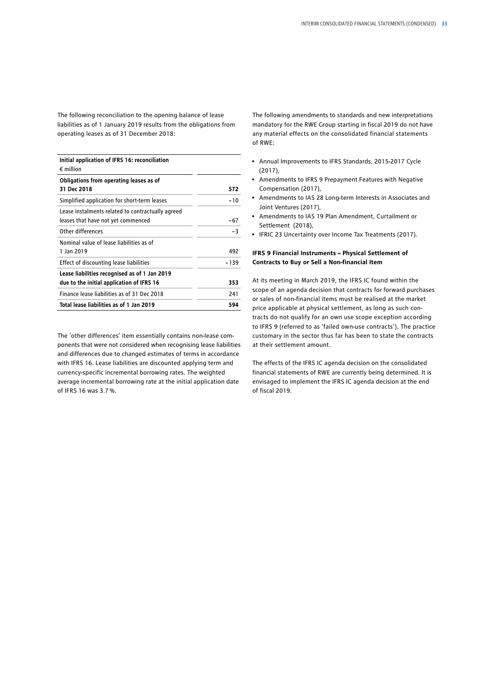The following reconciliation to the opening balance of lease liabilities as of 1 January 2019 results from the obligations from operating leases as of 31 December 2018:

| Initial application of IFRS 16: reconciliation<br>$\epsilon$ million                       |      |
|--------------------------------------------------------------------------------------------|------|
| Obligations from operating leases as of<br>31 Dec 2018                                     | 572  |
| Simplified application for short-term leases                                               | -10  |
| Lease instalments related to contractually agreed<br>leases that have not yet commenced    | -67  |
| Other differences                                                                          | $-3$ |
| Nominal value of lease liabilities as of<br>1 Jan 2019                                     | 492  |
| Effect of discounting lease liabilities                                                    | -139 |
| Lease liabilities recognised as of 1 Jan 2019<br>due to the initial application of IFRS 16 | 353  |
| Finance lease liabilities as of 31 Dec 2018                                                | 241  |
| Total lease liabilities as of 1 Jan 2019                                                   | 594  |

The 'other differences' item essentially contains non-lease components that were not considered when recognising lease liabilities and differences due to changed estimates of terms in accordance with IFRS 16. Lease liabilities are discounted applying term and currency-specific incremental borrowing rates. The weighted average incremental borrowing rate at the initial application date of IFRS 16 was 3.7%.

The following amendments to standards and new interpretations mandatory for the RWE Group starting in fiscal 2019 do not have any material effects on the consolidated financial statements of RWE:

- Annual Improvements to IFRS Standards, 2015-2017 Cycle (2017),
- Amendments to IFRS 9 Prepayment Features with Negative Compensation (2017),
- Amendments to IAS 28 Long-term Interests in Associates and Joint Ventures (2017)
- Amendments to IAS 19 Plan Amendment, Curtailment or Settlement (2018),
- IFRIC 23 Uncertainty over Income Tax Treatments (2017).

#### **IFRS 9 Financial Instruments – Physical Settlement of Contracts to Buy or Sell a Non-financial Item**

At its meeting in March 2019, the IFRS IC found within the scope of an agenda decision that contracts for forward purchases or sales of non-financial items must be realised at the market price applicable at physical settlement, as long as such contracts do not qualify for an own use scope exception according to IFRS 9 (referred to as 'failed own-use contracts'). The practice customary in the sector thus far has been to state the contracts at their settlement amount.

The effects of the IFRS IC agenda decision on the consolidated financial statements of RWE are currently being determined. It is envisaged to implement the IFRS IC agenda decision at the end of fiscal 2019.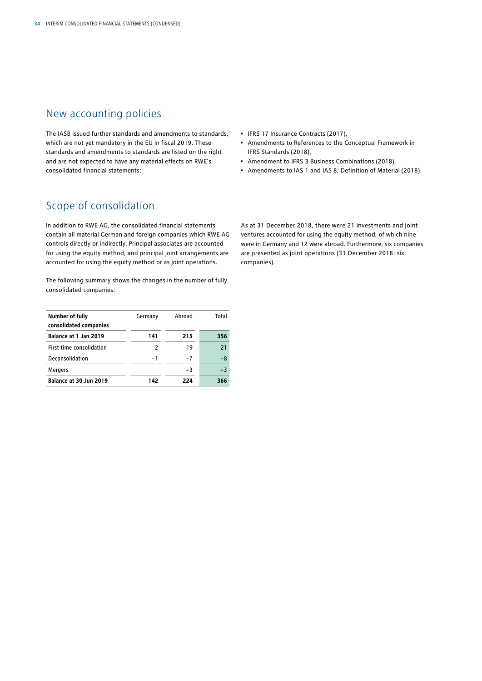## New accounting policies

The IASB issued further standards and amendments to standards, which are not yet mandatory in the EU in fiscal 2019. These standards and amendments to standards are listed on the right and are not expected to have any material effects on RWE's consolidated financial statements:

- IFRS 17 Insurance Contracts (2017),
- Amendments to References to the Conceptual Framework in IFRS Standards (2018),
- Amendment to IFRS 3 Business Combinations (2018),
- Amendments to IAS 1 and IAS 8; Definition of Material (2018).

## Scope of consolidation

In addition to RWE AG, the consolidated financial statements contain all material German and foreign companies which RWE AG controls directly or indirectly. Principal associates are accounted for using the equity method, and principal joint arrangements are accounted for using the equity method or as joint operations.

The following summary shows the changes in the number of fully consolidated companies:

| <b>Number of fully</b><br>consolidated companies | Germany | Abroad | Total |
|--------------------------------------------------|---------|--------|-------|
| Balance at 1 Jan 2019                            | 141     | 215    | 356   |
| First-time consolidation                         | 2       | 19     | 21    |
| Deconsolidation                                  | $-1$    | $-7$   | $-8$  |
| <b>Mergers</b>                                   |         | $-3$   | $-3$  |
| Balance at 30 Jun 2019                           | 142     | 224    | 366   |

As at 31 December 2018, there were 21 investments and joint ventures accounted for using the equity method, of which nine were in Germany and 12 were abroad. Furthermore, six companies are presented as joint operations (31 December 2018: six companies).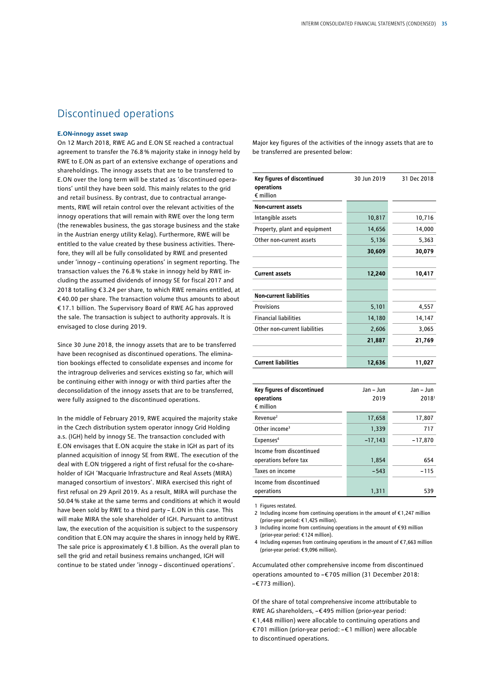### Discontinued operations

#### **E.ON-innogy asset swap**

On 12 March 2018, RWE AG and E.ON SE reached a contractual agreement to transfer the 76.8% majority stake in innogy held by RWE to E.ON as part of an extensive exchange of operations and shareholdings. The innogy assets that are to be transferred to E.ON over the long term will be stated as 'discontinued operations' until they have been sold. This mainly relates to the grid and retail business. By contrast, due to contractual arrangements, RWE will retain control over the relevant activities of the innogy operations that will remain with RWE over the long term (the renewables business, the gas storage business and the stake in the Austrian energy utility Kelag). Furthermore, RWE will be entitled to the value created by these business activities. Therefore, they will all be fully consolidated by RWE and presented under 'innogy – continuing operations' in segment reporting. The transaction values the 76.8 % stake in innogy held by RWE including the assumed dividends of innogy SE for fiscal 2017 and 2018 totalling €3.24 per share, to which RWE remains entitled, at €40.00 per share. The transaction volume thus amounts to about € 17.1 billion. The Supervisory Board of RWE AG has approved the sale. The transaction is subject to authority approvals. It is envisaged to close during 2019.

Since 30 June 2018, the innogy assets that are to be transferred have been recognised as discontinued operations. The elimination bookings effected to consolidate expenses and income for the intragroup deliveries and services existing so far, which will be continuing either with innogy or with third parties after the deconsolidation of the innogy assets that are to be transferred, were fully assigned to the discontinued operations.

In the middle of February 2019, RWE acquired the majority stake in the Czech distribution system operator innogy Grid Holding a.s. (IGH) held by innogy SE. The transaction concluded with E.ON envisages that E.ON acquire the stake in IGH as part of its planned acquisition of innogy SE from RWE. The execution of the deal with E.ON triggered a right of first refusal for the co-shareholder of IGH 'Macquarie Infrastructure and Real Assets (MIRA) managed consortium of investors'. MIRA exercised this right of first refusal on 29 April 2019. As a result, MIRA will purchase the 50.04% stake at the same terms and conditions at which it would have been sold by RWE to a third party – E.ON in this case. This will make MIRA the sole shareholder of IGH. Pursuant to antitrust law, the execution of the acquisition is subject to the suspensory condition that E.ON may acquire the shares in innogy held by RWE. The sale price is approximately  $\epsilon$ 1.8 billion. As the overall plan to sell the grid and retail business remains unchanged, IGH will continue to be stated under 'innogy – discontinued operations'.

Major key figures of the activities of the innogy assets that are to be transferred are presented below:

| Key figures of discontinued<br>operations<br>$\epsilon$ million | 30 Jun 2019 | 31 Dec 2018 |
|-----------------------------------------------------------------|-------------|-------------|
| <b>Non-current assets</b>                                       |             |             |
| Intangible assets                                               | 10,817      | 10,716      |
| Property, plant and equipment                                   | 14,656      | 14,000      |
| Other non-current assets                                        | 5,136       | 5,363       |
|                                                                 | 30,609      | 30,079      |
|                                                                 |             |             |
| <b>Current assets</b>                                           | 12,240      | 10,417      |
|                                                                 |             |             |
| <b>Non-current liabilities</b>                                  |             |             |
| Provisions                                                      | 5,101       | 4,557       |
| <b>Financial liabilities</b>                                    | 14,180      | 14,147      |
| Other non-current liabilities                                   | 2,606       | 3,065       |
|                                                                 | 21,887      | 21,769      |
|                                                                 |             |             |
| <b>Current liabilities</b>                                      | 12,636      | 11,027      |

| Key figures of discontinued<br>operations<br>$\epsilon$ million | Jan - Jun<br>2019 | Jan - Jun<br>2018 <sup>1</sup> |
|-----------------------------------------------------------------|-------------------|--------------------------------|
| Revenue <sup>2</sup>                                            | 17,658            | 17,807                         |
| Other income <sup>3</sup>                                       | 1,339             | 717                            |
| Expenses <sup>4</sup>                                           | $-17,143$         | $-17,870$                      |
| Income from discontinued<br>operations before tax               | 1,854             | 654                            |
| Taxes on income                                                 | $-543$            | $-115$                         |
| Income from discontinued<br>operations                          | 1.311             | 539                            |

1 Figures restated.

2 Including income from continuing operations in the amount of € 1,247 million (prior-year period: € 1,425 million).

3 Including income from continuing operations in the amount of € 93 million (prior-year period: € 124 million).

4 Including expenses from continuing operations in the amount of €7,663 million (prior-year period: € 9,096 million).

Accumulated other comprehensive income from discontinued operations amounted to –€705 million (31 December 2018: –€773 million).

Of the share of total comprehensive income attributable to RWE AG shareholders, –€495 million (prior-year period: €1,448 million) were allocable to continuing operations and €701 million (prior-year period: –€1 million) were allocable to discontinued operations.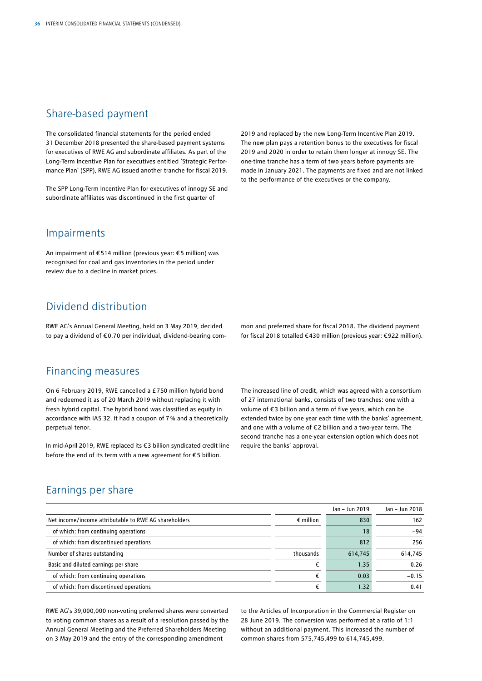### Share-based payment

The consolidated financial statements for the period ended 31 December 2018 presented the share-based payment systems for executives of RWE AG and subordinate affiliates. As part of the Long-Term Incentive Plan for executives entitled 'Strategic Performance Plan' (SPP), RWE AG issued another tranche for fiscal 2019.

The SPP Long-Term Incentive Plan for executives of innogy SE and subordinate affiliates was discontinued in the first quarter of

2019 and replaced by the new Long-Term Incentive Plan 2019. The new plan pays a retention bonus to the executives for fiscal 2019 and 2020 in order to retain them longer at innogy SE. The one-time tranche has a term of two years before payments are made in January 2021. The payments are fixed and are not linked to the performance of the executives or the company.

### Impairments

An impairment of €514 million (previous year: €5 million) was recognised for coal and gas inventories in the period under review due to a decline in market prices.

### Dividend distribution

RWE AG's Annual General Meeting, held on 3 May 2019, decided to pay a dividend of €0.70 per individual, dividend-bearing common and preferred share for fiscal 2018. The dividend payment for fiscal 2018 totalled €430 million (previous year: €922 million).

### Financing measures

On 6 February 2019, RWE cancelled a £750 million hybrid bond and redeemed it as of 20 March 2019 without replacing it with fresh hybrid capital. The hybrid bond was classified as equity in accordance with IAS 32. It had a coupon of 7% and a theoretically perpetual tenor.

In mid-April 2019, RWE replaced its €3 billion syndicated credit line before the end of its term with a new agreement for €5 billion.

The increased line of credit, which was agreed with a consortium of 27 international banks, consists of two tranches: one with a volume of €3 billion and a term of five years, which can be extended twice by one year each time with the banks' agreement, and one with a volume of €2 billion and a two-year term. The second tranche has a one-year extension option which does not require the banks' approval.

### Earnings per share

|                                                       |                    | Jan - Jun 2019 | Jan - Jun 2018 |
|-------------------------------------------------------|--------------------|----------------|----------------|
| Net income/income attributable to RWE AG shareholders | $\epsilon$ million | 830            | 162            |
| of which: from continuing operations                  |                    | 18             | $-94$          |
| of which: from discontinued operations                |                    | 812            | 256            |
| Number of shares outstanding                          | thousands          | 614,745        | 614,745        |
| Basic and diluted earnings per share                  |                    | 1.35           | 0.26           |
| of which: from continuing operations                  | €                  | 0.03           | $-0.15$        |
| of which: from discontinued operations                | €                  | 1.32           | 0.41           |

RWE AG's 39,000,000 non-voting preferred shares were converted to voting common shares as a result of a resolution passed by the Annual General Meeting and the Preferred Shareholders Meeting on 3 May 2019 and the entry of the corresponding amendment

to the Articles of Incorporation in the Commercial Register on 28 June 2019. The conversion was performed at a ratio of 1:1 without an additional payment. This increased the number of common shares from 575,745,499 to 614,745,499.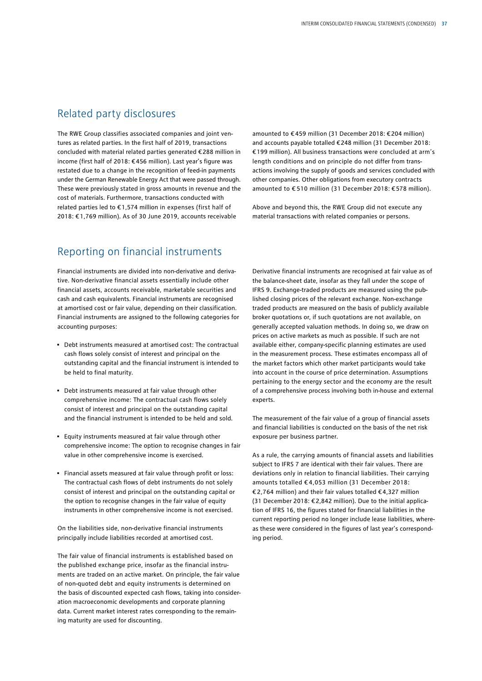### Related party disclosures

The RWE Group classifies associated companies and joint ventures as related parties. In the first half of 2019, transactions concluded with material related parties generated €288 million in income (first half of 2018: €456 million). Last year's figure was restated due to a change in the recognition of feed-in payments under the German Renewable Energy Act that were passed through. These were previously stated in gross amounts in revenue and the cost of materials. Furthermore, transactions conducted with related parties led to €1,574 million in expenses (first half of 2018: €1,769 million). As of 30 June 2019, accounts receivable

amounted to € 459 million (31 December 2018: €204 million) and accounts payable totalled €248 million (31 December 2018: €199 million). All business transactions were concluded at arm's length conditions and on principle do not differ from transactions involving the supply of goods and services concluded with other companies. Other obligations from executory contracts amounted to € 510 million (31 December 2018: €578 million).

Above and beyond this, the RWE Group did not execute any material transactions with related companies or persons.

### Reporting on financial instruments

Financial instruments are divided into non-derivative and derivative. Non-derivative financial assets essentially include other financial assets, accounts receivable, marketable securities and cash and cash equivalents. Financial instruments are recognised at amortised cost or fair value, depending on their classification. Financial instruments are assigned to the following categories for accounting purposes:

- Debt instruments measured at amortised cost: The contractual cash flows solely consist of interest and principal on the outstanding capital and the financial instrument is intended to be held to final maturity.
- Debt instruments measured at fair value through other comprehensive income: The contractual cash flows solely consist of interest and principal on the outstanding capital and the financial instrument is intended to be held and sold.
- Equity instruments measured at fair value through other comprehensive income: The option to recognise changes in fair value in other comprehensive income is exercised.
- Financial assets measured at fair value through profit or loss: The contractual cash flows of debt instruments do not solely consist of interest and principal on the outstanding capital or the option to recognise changes in the fair value of equity instruments in other comprehensive income is not exercised.

On the liabilities side, non-derivative financial instruments principally include liabilities recorded at amortised cost.

The fair value of financial instruments is established based on the published exchange price, insofar as the financial instruments are traded on an active market. On principle, the fair value of non-quoted debt and equity instruments is determined on the basis of discounted expected cash flows, taking into consideration macroeconomic developments and corporate planning data. Current market interest rates corresponding to the remaining maturity are used for discounting.

Derivative financial instruments are recognised at fair value as of the balance-sheet date, insofar as they fall under the scope of IFRS 9. Exchange-traded products are measured using the published closing prices of the relevant exchange. Non-exchange traded products are measured on the basis of publicly available broker quotations or, if such quotations are not available, on generally accepted valuation methods. In doing so, we draw on prices on active markets as much as possible. If such are not available either, company-specific planning estimates are used in the measurement process. These estimates encompass all of the market factors which other market participants would take into account in the course of price determination. Assumptions pertaining to the energy sector and the economy are the result of a comprehensive process involving both in-house and external experts.

The measurement of the fair value of a group of financial assets and financial liabilities is conducted on the basis of the net risk exposure per business partner.

As a rule, the carrying amounts of financial assets and liabilities subject to IFRS 7 are identical with their fair values. There are deviations only in relation to financial liabilities. Their carrying amounts totalled € 4,053 million (31 December 2018: € 2,764 million) and their fair values totalled €4,327 million (31 December 2018: €2,842 million). Due to the initial application of IFRS 16, the figures stated for financial liabilities in the current reporting period no longer include lease liabilities, whereas these were considered in the figures of last year's corresponding period.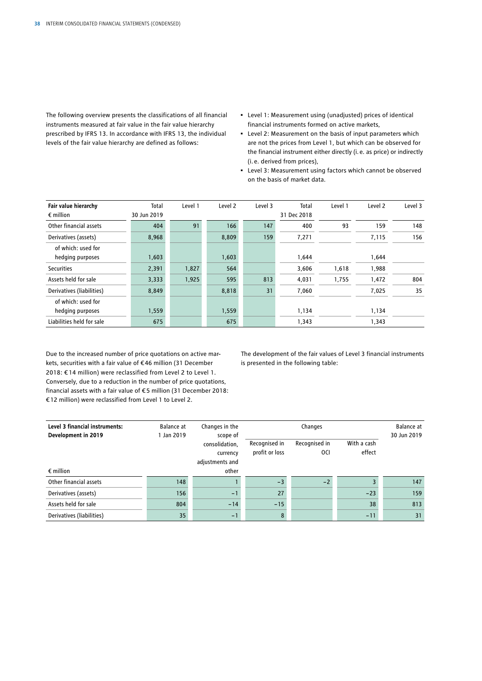The following overview presents the classifications of all financial instruments measured at fair value in the fair value hierarchy prescribed by IFRS 13. In accordance with IFRS 13, the individual levels of the fair value hierarchy are defined as follows:

- Level 1: Measurement using (unadjusted) prices of identical financial instruments formed on active markets,
- Level 2: Measurement on the basis of input parameters which are not the prices from Level 1, but which can be observed for the financial instrument either directly (i.e. as price) or indirectly (i.e. derived from prices),
- Level 3: Measurement using factors which cannot be observed on the basis of market data.

| Fair value hierarchy      | <b>Total</b> | Level 1 | Level 2 | Level 3 | Total       | Level 1 | Level 2 | Level 3 |
|---------------------------|--------------|---------|---------|---------|-------------|---------|---------|---------|
| $\epsilon$ million        | 30 Jun 2019  |         |         |         | 31 Dec 2018 |         |         |         |
| Other financial assets    | 404          | 91      | 166     | 147     | 400         | 93      | 159     | 148     |
| Derivatives (assets)      | 8,968        |         | 8,809   | 159     | 7,271       |         | 7,115   | 156     |
| of which: used for        |              |         |         |         |             |         |         |         |
| hedging purposes          | 1,603        |         | 1,603   |         | 1,644       |         | 1,644   |         |
| <b>Securities</b>         | 2,391        | 1,827   | 564     |         | 3,606       | 1,618   | 1,988   |         |
| Assets held for sale      | 3,333        | 1,925   | 595     | 813     | 4,031       | 1,755   | 1,472   | 804     |
| Derivatives (liabilities) | 8,849        |         | 8,818   | 31      | 7,060       |         | 7,025   | 35      |
| of which: used for        |              |         |         |         |             |         |         |         |
| hedging purposes          | 1,559        |         | 1,559   |         | 1,134       |         | 1,134   |         |
| Liabilities held for sale | 675          |         | 675     |         | 1,343       |         | 1,343   |         |

Due to the increased number of price quotations on active markets, securities with a fair value of €46 million (31 December 2018: € 14 million) were reclassified from Level 2 to Level 1. Conversely, due to a reduction in the number of price quotations, financial assets with a fair value of €5 million (31 December 2018: €12 million) were reclassified from Level 1 to Level 2.

The development of the fair values of Level 3 financial instruments is presented in the following table:

| Level 3 financial instruments:<br>Development in 2019 | Balance at<br>1 Jan 2019 | Changes in the<br>scope of                    |                                 | Changes                         |                       | Balance at<br>30 Jun 2019 |
|-------------------------------------------------------|--------------------------|-----------------------------------------------|---------------------------------|---------------------------------|-----------------------|---------------------------|
|                                                       |                          | consolidation,<br>currency<br>adjustments and | Recognised in<br>profit or loss | Recognised in<br><sub>0Cl</sub> | With a cash<br>effect |                           |
| $\epsilon$ million                                    |                          | other                                         |                                 |                                 |                       |                           |
| Other financial assets                                | 148                      |                                               | $-3$                            | $-2$                            |                       | 147                       |
| Derivatives (assets)                                  | 156                      | $-1$                                          | 27                              |                                 | $-23$                 | 159                       |
| Assets held for sale                                  | 804                      | $-14$                                         | $-15$                           |                                 | 38                    | 813                       |
| Derivatives (liabilities)                             | 35                       | $-1$                                          | 8                               |                                 | $-11$                 | 31                        |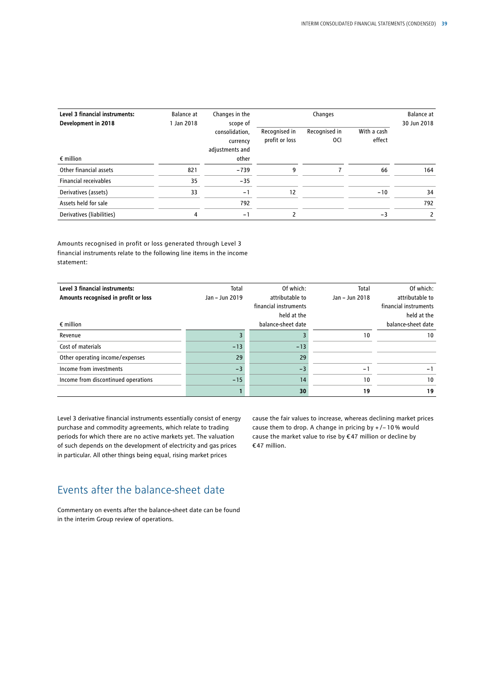| Level 3 financial instruments: | Balance at | Changes in the                                            |                                 | Changes                         |                       | Balance at  |
|--------------------------------|------------|-----------------------------------------------------------|---------------------------------|---------------------------------|-----------------------|-------------|
| Development in 2018            | Jan 2018   | scope of<br>consolidation,<br>currency<br>adjustments and | Recognised in<br>profit or loss | Recognised in<br><sub>0Cl</sub> | With a cash<br>effect | 30 Jun 2018 |
| $\epsilon$ million             |            | other                                                     |                                 |                                 |                       |             |
| Other financial assets         | 821        | $-739$                                                    | 9                               |                                 | 66                    | 164         |
| <b>Financial receivables</b>   | 35         | $-35$                                                     |                                 |                                 |                       |             |
| Derivatives (assets)           | 33         | $-1$                                                      | 12                              |                                 | $-10$                 | 34          |
| Assets held for sale           |            | 792                                                       |                                 |                                 |                       | 792         |
| Derivatives (liabilities)      | 4          | $-1$                                                      | 2                               |                                 | $-3$                  | 2           |

Amounts recognised in profit or loss generated through Level 3 financial instruments relate to the following line items in the income statement:

| Level 3 financial instruments:       | Total          | Of which:             | Total          | Of which:             |
|--------------------------------------|----------------|-----------------------|----------------|-----------------------|
| Amounts recognised in profit or loss | Jan - Jun 2019 | attributable to       | Jan - Jun 2018 | attributable to       |
|                                      |                | financial instruments |                | financial instruments |
|                                      |                | held at the           |                | held at the           |
| $\epsilon$ million                   |                | balance-sheet date    |                | balance-sheet date    |
| Revenue                              |                |                       | 10             | 10                    |
| Cost of materials                    | $-13$          | $-13$                 |                |                       |
| Other operating income/expenses      | 29             | 29                    |                |                       |
| Income from investments              | $-3$           | $-3$                  | $-$            | $-1$                  |
| Income from discontinued operations  | $-15$          | 14                    | 10             | 10                    |
|                                      |                | 30                    | 19             | 19                    |

Level 3 derivative financial instruments essentially consist of energy purchase and commodity agreements, which relate to trading periods for which there are no active markets yet. The valuation of such depends on the development of electricity and gas prices in particular. All other things being equal, rising market prices

cause the fair values to increase, whereas declining market prices cause them to drop. A change in pricing by + /− 10% would cause the market value to rise by €47 million or decline by €47 million.

# Events after the balance-sheet date

Commentary on events after the balance-sheet date can be found in the interim Group review of operations.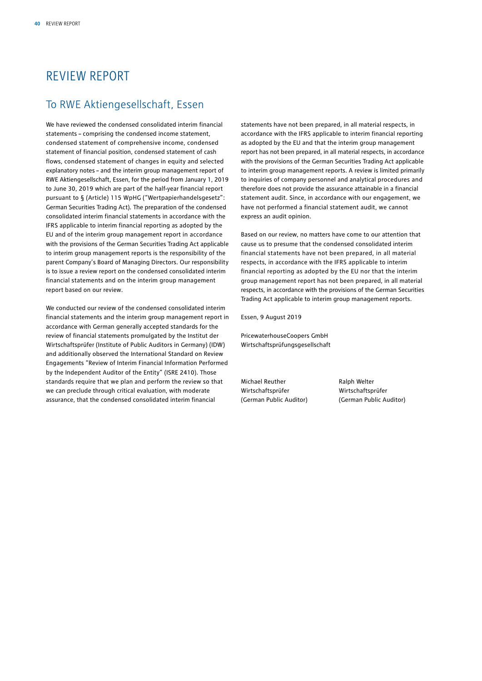# REVIEW REPORT

### To RWE Aktiengesellschaft, Essen

We have reviewed the condensed consolidated interim financial statements – comprising the condensed income statement, condensed statement of comprehensive income, condensed statement of financial position, condensed statement of cash flows, condensed statement of changes in equity and selected explanatory notes – and the interim group management report of RWE Aktiengesellschaft, Essen, for the period from January 1, 2019 to June 30, 2019 which are part of the half-year financial report pursuant to § (Article) 115 WpHG ("Wertpapierhandelsgesetz": German Securities Trading Act). The preparation of the condensed consolidated interim financial statements in accordance with the IFRS applicable to interim financial reporting as adopted by the EU and of the interim group management report in accordance with the provisions of the German Securities Trading Act applicable to interim group management reports is the responsibility of the parent Company's Board of Managing Directors. Our responsibility is to issue a review report on the condensed consolidated interim financial statements and on the interim group management report based on our review.

We conducted our review of the condensed consolidated interim financial statements and the interim group management report in accordance with German generally accepted standards for the review of financial statements promulgated by the Institut der Wirtschaftsprüfer (Institute of Public Auditors in Germany) (IDW) and additionally observed the International Standard on Review Engagements "Review of Interim Financial Information Performed by the Independent Auditor of the Entity" (ISRE 2410). Those standards require that we plan and perform the review so that we can preclude through critical evaluation, with moderate assurance, that the condensed consolidated interim financial

statements have not been prepared, in all material respects, in accordance with the IFRS applicable to interim financial reporting as adopted by the EU and that the interim group management report has not been prepared, in all material respects, in accordance with the provisions of the German Securities Trading Act applicable to interim group management reports. A review is limited primarily to inquiries of company personnel and analytical procedures and therefore does not provide the assurance attainable in a financial statement audit. Since, in accordance with our engagement, we have not performed a financial statement audit, we cannot express an audit opinion.

Based on our review, no matters have come to our attention that cause us to presume that the condensed consolidated interim financial statements have not been prepared, in all material respects, in accordance with the IFRS applicable to interim financial reporting as adopted by the EU nor that the interim group management report has not been prepared, in all material respects, in accordance with the provisions of the German Securities Trading Act applicable to interim group management reports.

Essen, 9 August 2019

PricewaterhouseCoopers GmbH Wirtschaftsprüfungsgesellschaft

Michael Reuther **Ralph Welter** Wirtschaftsprüfer Wirtschaftsprüfer

(German Public Auditor) (German Public Auditor)